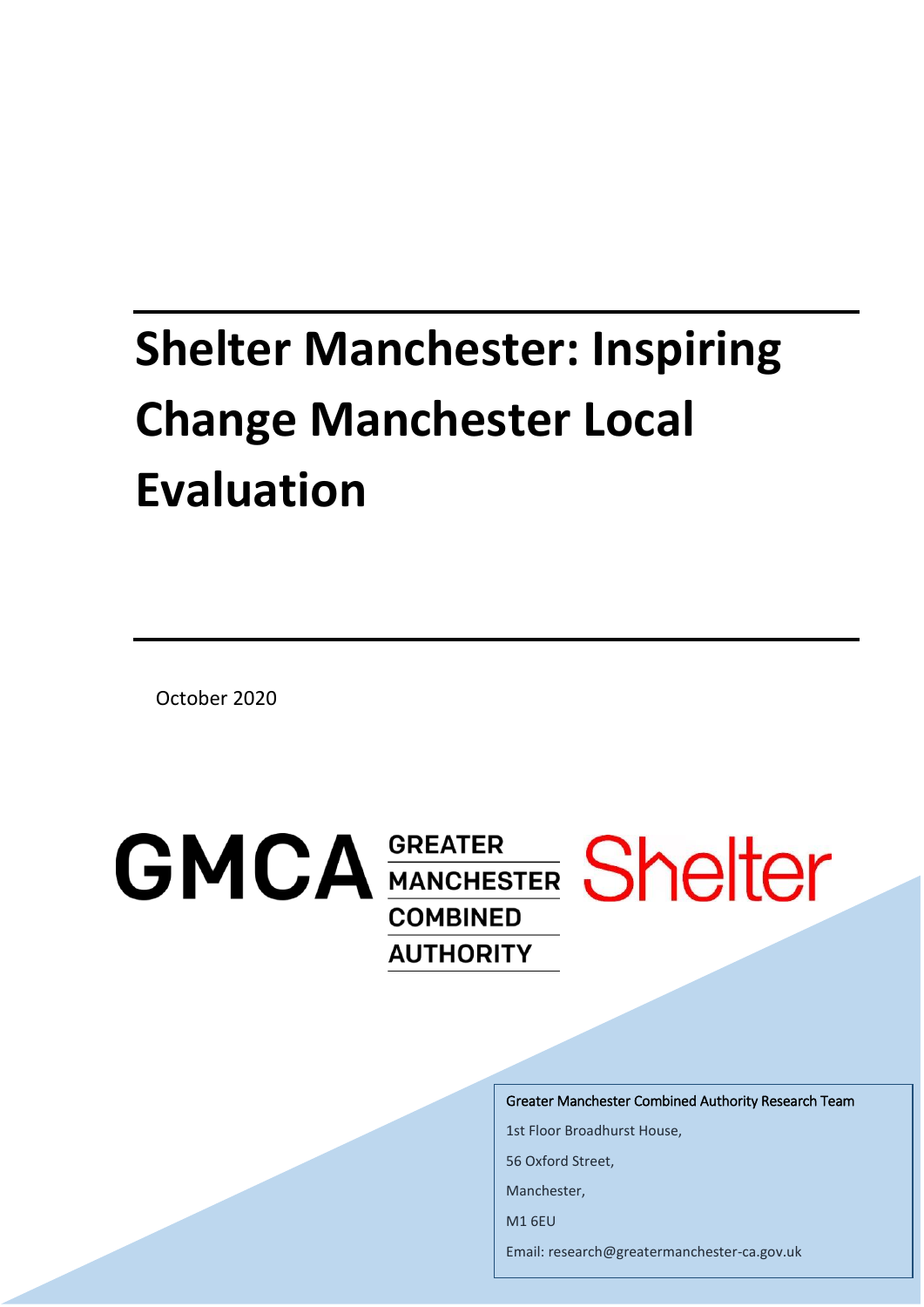# **Shelter Manchester: Inspiring Change Manchester Local Evaluation**

October 2020

**GMCA GREATER** Shelter **COMBINED AUTHORITY** 

Greater Manchester Combined Authority Research Team

1st Floor Broadhurst House,

56 Oxford Street,

Manchester,

M1 6EU

Email: research@greatermanchester-ca.gov.uk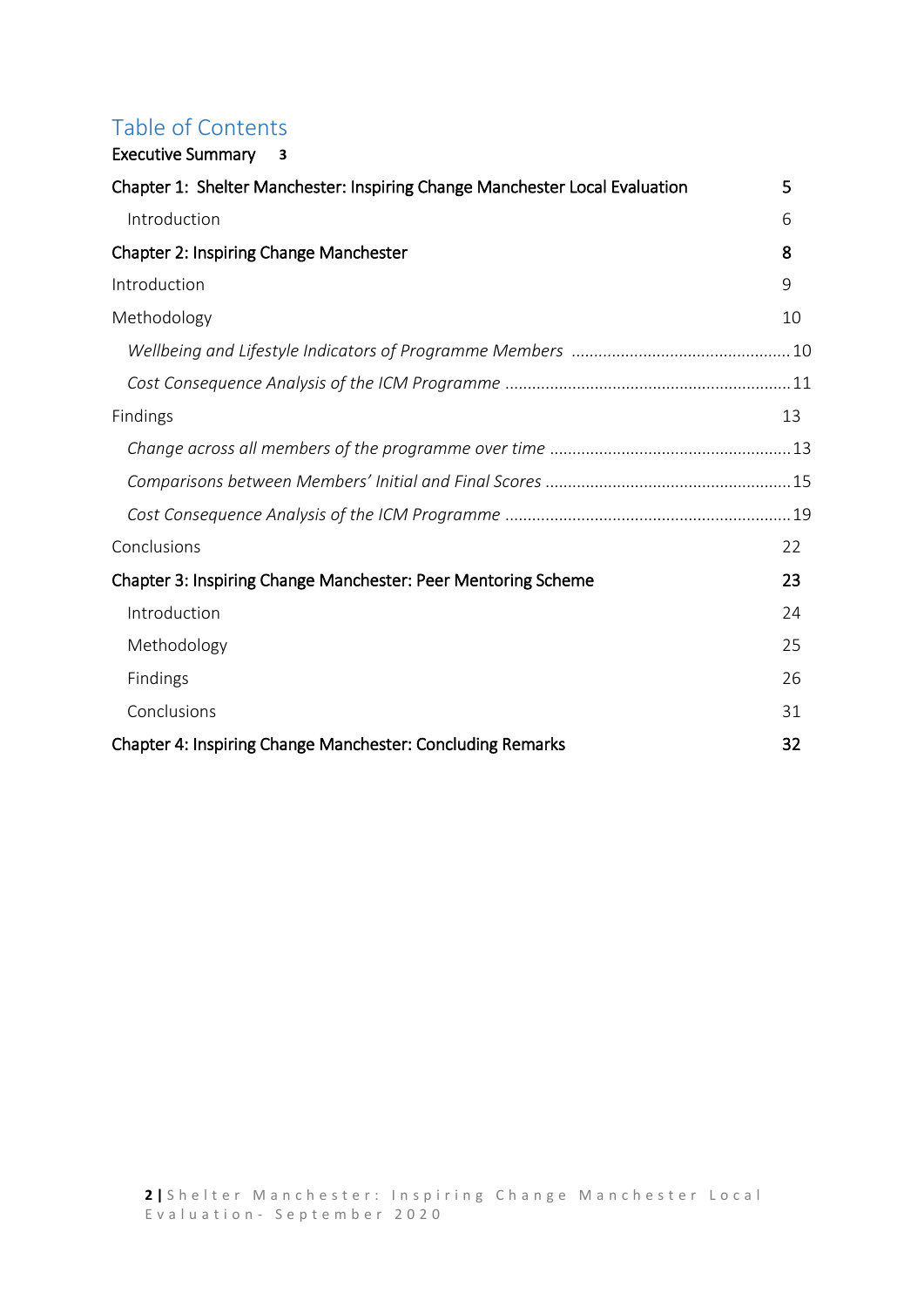### Table of Contents [Executive Summary](#page-2-0) **3**

| _____________________                                                       |    |
|-----------------------------------------------------------------------------|----|
| Chapter 1: Shelter Manchester: Inspiring Change Manchester Local Evaluation | 5  |
| Introduction                                                                | 6  |
| Chapter 2: Inspiring Change Manchester                                      | 8  |
| Introduction                                                                | 9  |
| Methodology                                                                 | 10 |
|                                                                             |    |
|                                                                             |    |
| Findings                                                                    | 13 |
|                                                                             |    |
|                                                                             |    |
|                                                                             |    |
| Conclusions                                                                 | 22 |
| Chapter 3: Inspiring Change Manchester: Peer Mentoring Scheme               | 23 |
| Introduction                                                                | 24 |
| Methodology                                                                 | 25 |
| Findings                                                                    | 26 |
| Conclusions                                                                 | 31 |
| Chapter 4: Inspiring Change Manchester: Concluding Remarks                  | 32 |
|                                                                             |    |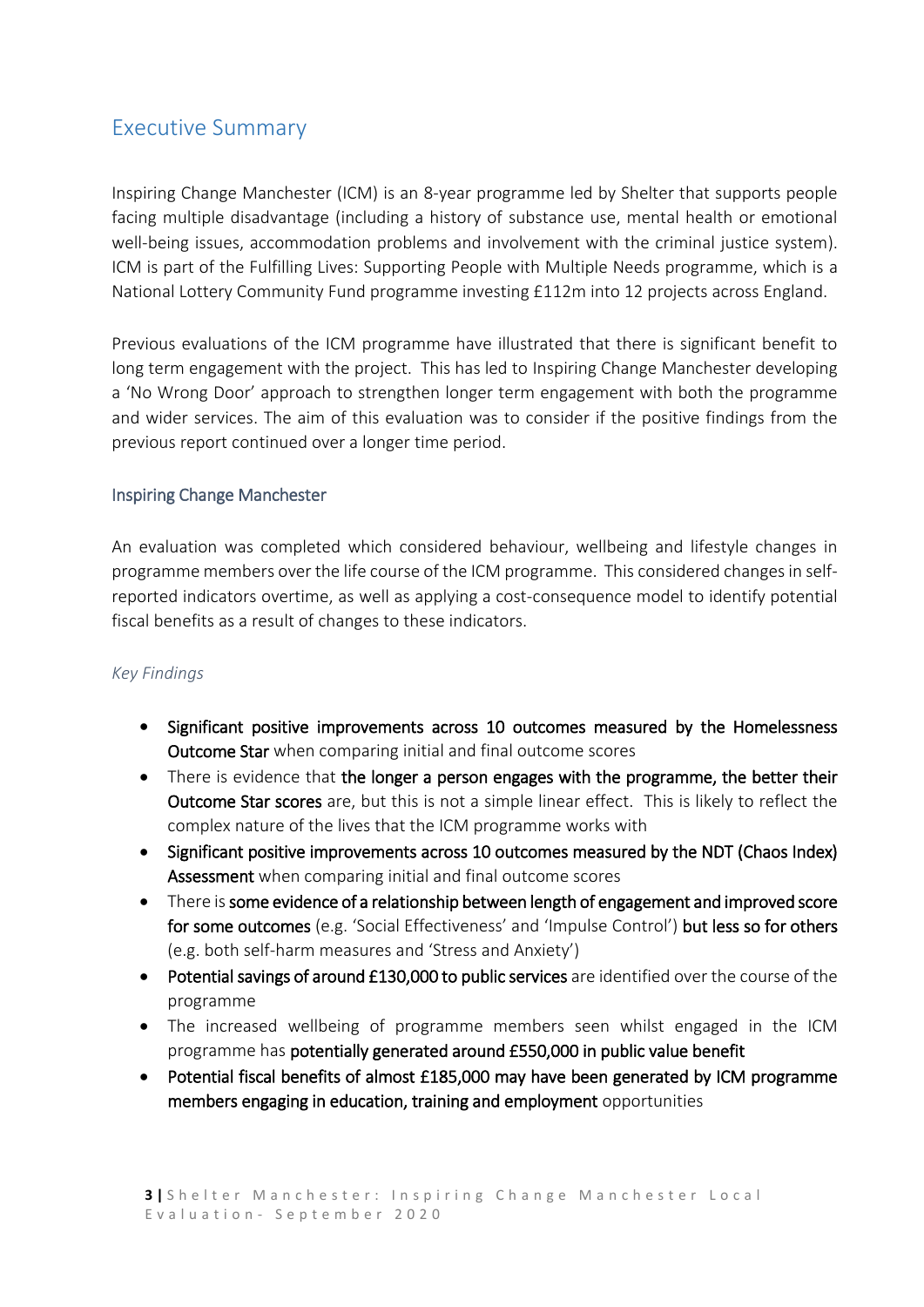### <span id="page-2-0"></span>Executive Summary

Inspiring Change Manchester (ICM) is an 8-year programme led by Shelter that supports people facing multiple disadvantage (including a history of substance use, mental health or emotional well-being issues, accommodation problems and involvement with the criminal justice system). ICM is part of the Fulfilling Lives: Supporting People with Multiple Needs programme, which is a National Lottery Community Fund programme investing £112m into 12 projects across England.

Previous evaluations of the ICM programme have illustrated that there is significant benefit to long term engagement with the project. This has led to Inspiring Change Manchester developing a 'No Wrong Door' approach to strengthen longer term engagement with both the programme and wider services. The aim of this evaluation was to consider if the positive findings from the previous report continued over a longer time period.

### Inspiring Change Manchester

An evaluation was completed which considered behaviour, wellbeing and lifestyle changes in programme members over the life course of the ICM programme. This considered changes in selfreported indicators overtime, as well as applying a cost-consequence model to identify potential fiscal benefits as a result of changes to these indicators.

#### *Key Findings*

- Significant positive improvements across 10 outcomes measured by the Homelessness Outcome Star when comparing initial and final outcome scores
- There is evidence that the longer a person engages with the programme, the better their Outcome Star scores are, but this is not a simple linear effect. This is likely to reflect the complex nature of the lives that the ICM programme works with
- Significant positive improvements across 10 outcomes measured by the NDT (Chaos Index) Assessment when comparing initial and final outcome scores
- There is some evidence of a relationship between length of engagement and improved score for some outcomes (e.g. 'Social Effectiveness' and 'Impulse Control') but less so for others (e.g. both self-harm measures and 'Stress and Anxiety')
- Potential savings of around £130,000 to public services are identified over the course of the programme
- The increased wellbeing of programme members seen whilst engaged in the ICM programme has potentially generated around £550,000 in public value benefit
- Potential fiscal benefits of almost £185,000 may have been generated by ICM programme members engaging in education, training and employment opportunities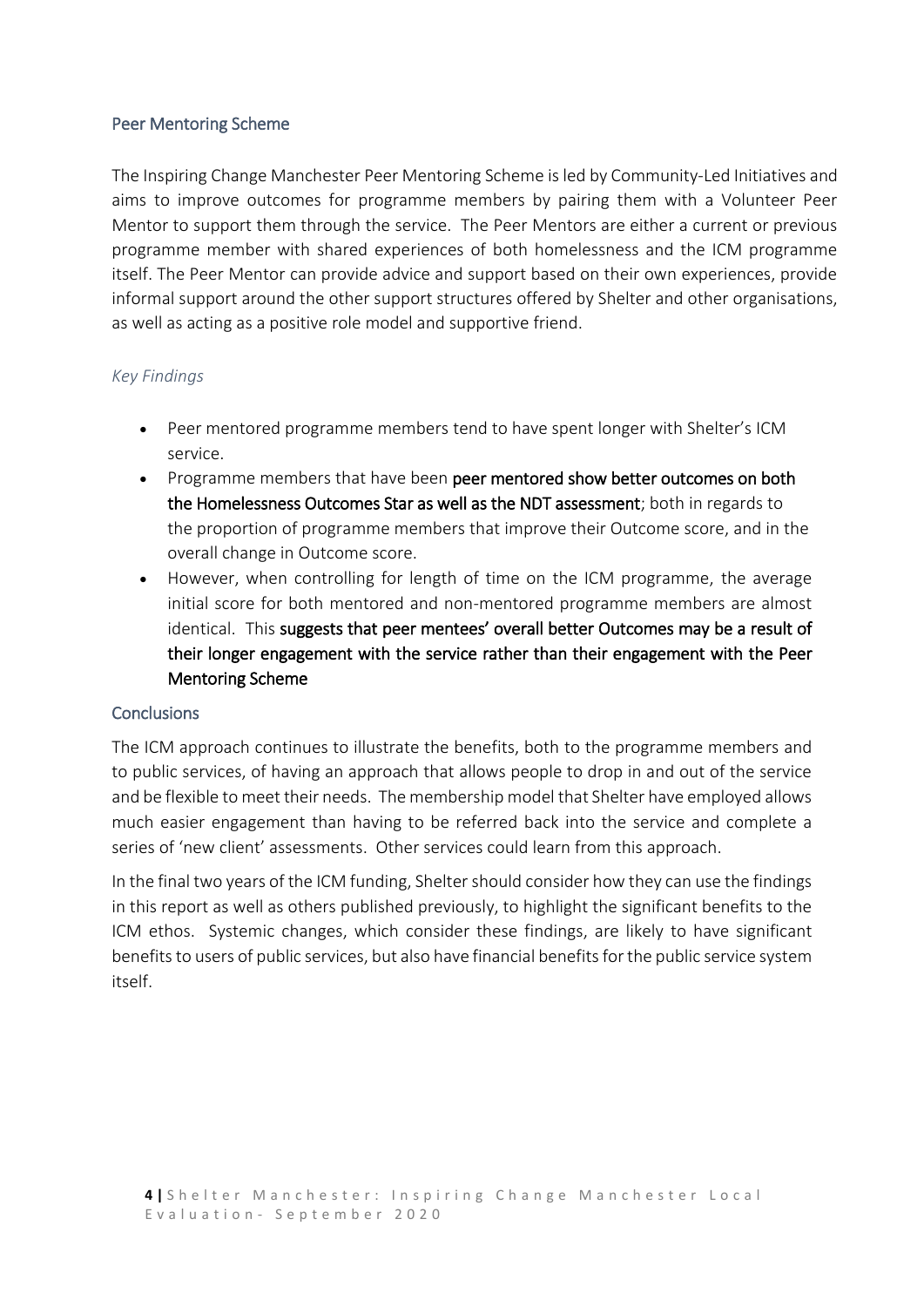#### Peer Mentoring Scheme

The Inspiring Change Manchester Peer Mentoring Scheme is led by Community-Led Initiatives and aims to improve outcomes for programme members by pairing them with a Volunteer Peer Mentor to support them through the service. The Peer Mentors are either a current or previous programme member with shared experiences of both homelessness and the ICM programme itself. The Peer Mentor can provide advice and support based on their own experiences, provide informal support around the other support structures offered by Shelter and other organisations, as well as acting as a positive role model and supportive friend.

### *Key Findings*

- Peer mentored programme members tend to have spent longer with Shelter's ICM service.
- Programme members that have been peer mentored show better outcomes on both the Homelessness Outcomes Star as well as the NDT assessment; both in regards to the proportion of programme members that improve their Outcome score, and in the overall change in Outcome score.
- However, when controlling for length of time on the ICM programme, the average initial score for both mentored and non-mentored programme members are almost identical. This suggests that peer mentees' overall better Outcomes may be a result of their longer engagement with the service rather than their engagement with the Peer Mentoring Scheme

#### **Conclusions**

The ICM approach continues to illustrate the benefits, both to the programme members and to public services, of having an approach that allows people to drop in and out of the service and be flexible to meet their needs. The membership model that Shelter have employed allows much easier engagement than having to be referred back into the service and complete a series of 'new client' assessments. Other services could learn from this approach.

In the final two years of the ICM funding, Shelter should consider how they can use the findings in this report as well as others published previously, to highlight the significant benefits to the ICM ethos. Systemic changes, which consider these findings, are likely to have significant benefits to users of public services, but also have financial benefits for the public service system itself.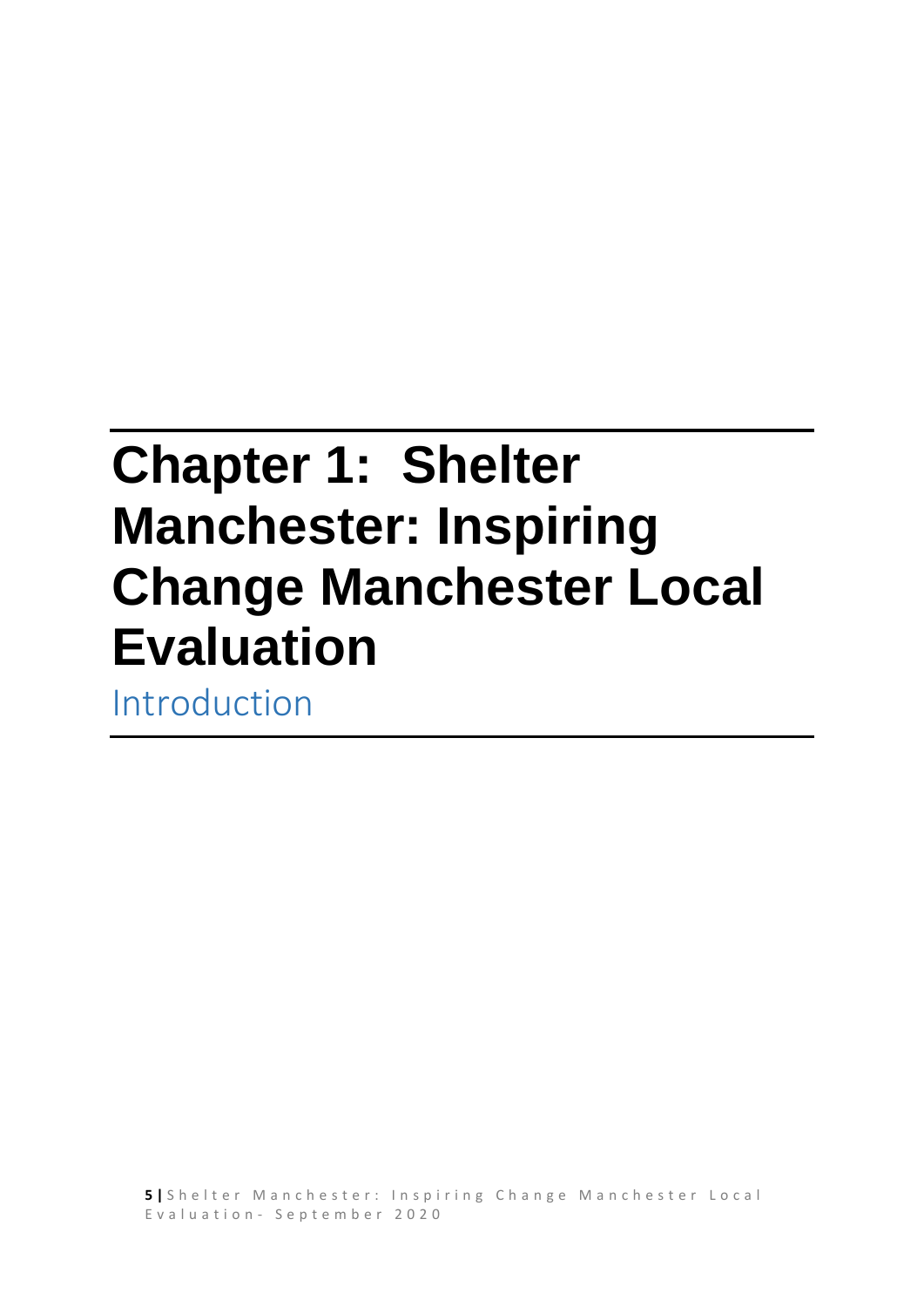# <span id="page-4-0"></span>**Chapter 1: Shelter Manchester: Inspiring Change Manchester Local Evaluation**

Introduction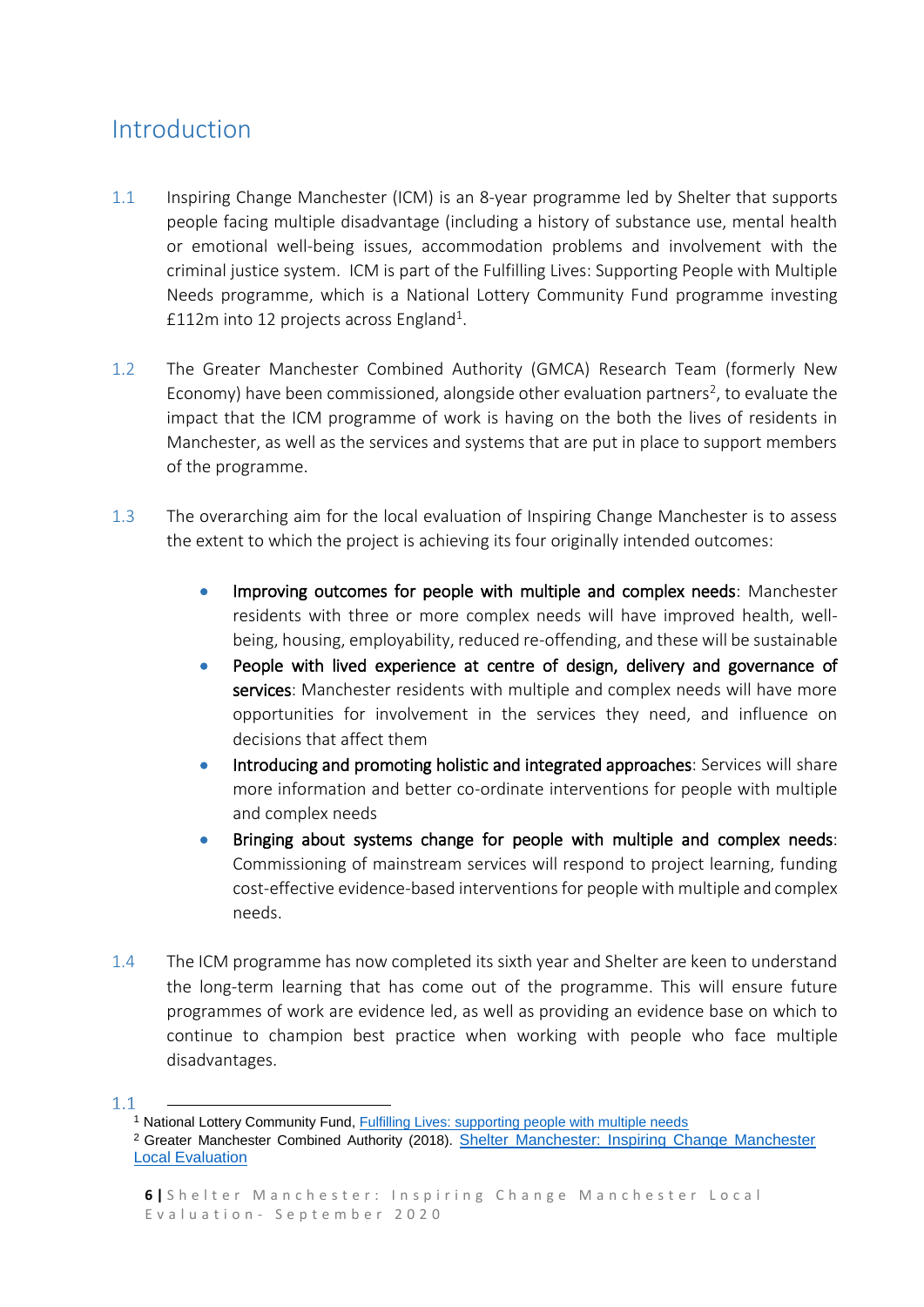## <span id="page-5-0"></span>Introduction

- 1.1 Inspiring Change Manchester (ICM) is an 8-year programme led by Shelter that supports people facing multiple disadvantage (including a history of substance use, mental health or emotional well-being issues, accommodation problems and involvement with the criminal justice system. ICM is part of the Fulfilling Lives: Supporting People with Multiple Needs programme, which is a National Lottery Community Fund programme investing £112m into 12 projects across England<sup>1</sup>.
- 1.2 The Greater Manchester Combined Authority (GMCA) Research Team (formerly New Economy) have been commissioned, alongside other evaluation partners<sup>2</sup>, to evaluate the impact that the ICM programme of work is having on the both the lives of residents in Manchester, as well as the services and systems that are put in place to support members of the programme.
- 1.3 The overarching aim for the local evaluation of Inspiring Change Manchester is to assess the extent to which the project is achieving its four originally intended outcomes:
	- Improving outcomes for people with multiple and complex needs: Manchester residents with three or more complex needs will have improved health, wellbeing, housing, employability, reduced re-offending, and these will be sustainable
	- People with lived experience at centre of design, delivery and governance of services: Manchester residents with multiple and complex needs will have more opportunities for involvement in the services they need, and influence on decisions that affect them
	- Introducing and promoting holistic and integrated approaches: Services will share more information and better co-ordinate interventions for people with multiple and complex needs
	- Bringing about systems change for people with multiple and complex needs: Commissioning of mainstream services will respond to project learning, funding cost-effective evidence-based interventions for people with multiple and complex needs.
- 1.4 The ICM programme has now completed its sixth year and Shelter are keen to understand the long-term learning that has come out of the programme. This will ensure future programmes of work are evidence led, as well as providing an evidence base on which to continue to champion best practice when working with people who face multiple disadvantages.

**-**

 $1.1$ 

<sup>&</sup>lt;sup>1</sup> National Lottery Community Fund[, Fulfilling Lives: supporting people with multiple needs](https://www.biglotteryfund.org.uk/global-content/programmes/england/multiple-and-complex-needs)

<sup>&</sup>lt;sup>2</sup> Greater Manchester Combined Authority (2018). Shelter Manchester: Inspiring Change Manchester [Local Evaluation](https://www.bing.com/search?q=aggregate&src=IE-SearchBox&FORM=IESR4S)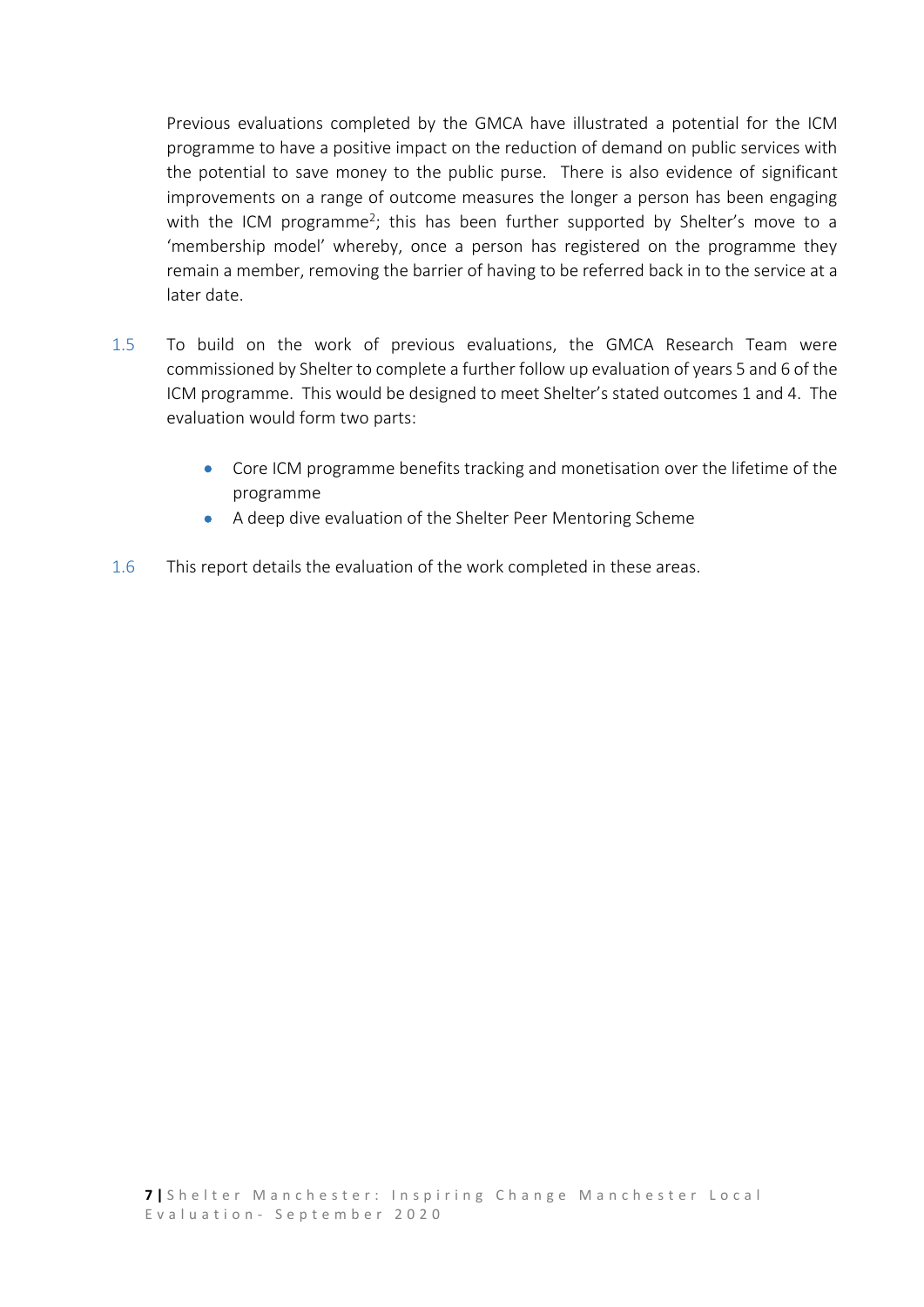Previous evaluations completed by the GMCA have illustrated a potential for the ICM programme to have a positive impact on the reduction of demand on public services with the potential to save money to the public purse. There is also evidence of significant improvements on a range of outcome measures the longer a person has been engaging with the ICM programme<sup>2</sup>; this has been further supported by Shelter's move to a 'membership model' whereby, once a person has registered on the programme they remain a member, removing the barrier of having to be referred back in to the service at a later date.

- 1.5 To build on the work of previous evaluations, the GMCA Research Team were commissioned by Shelter to complete a further follow up evaluation of years 5 and 6 of the ICM programme. This would be designed to meet Shelter's stated outcomes 1 and 4. The evaluation would form two parts:
	- Core ICM programme benefits tracking and monetisation over the lifetime of the programme
	- A deep dive evaluation of the Shelter Peer Mentoring Scheme
- 1.6 This report details the evaluation of the work completed in these areas.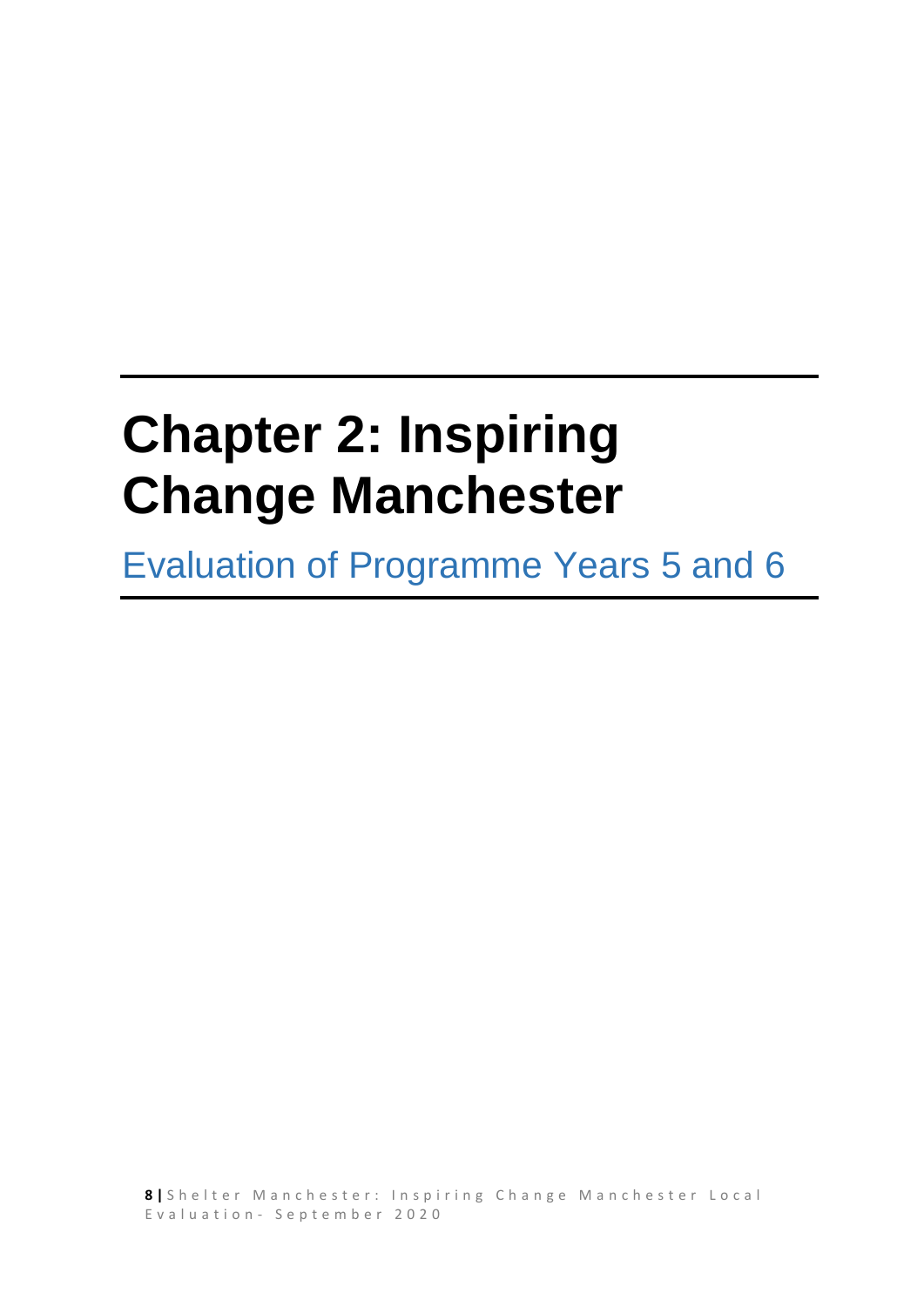# <span id="page-7-0"></span>**Chapter 2: Inspiring Change Manchester**

Evaluation of Programme Years 5 and 6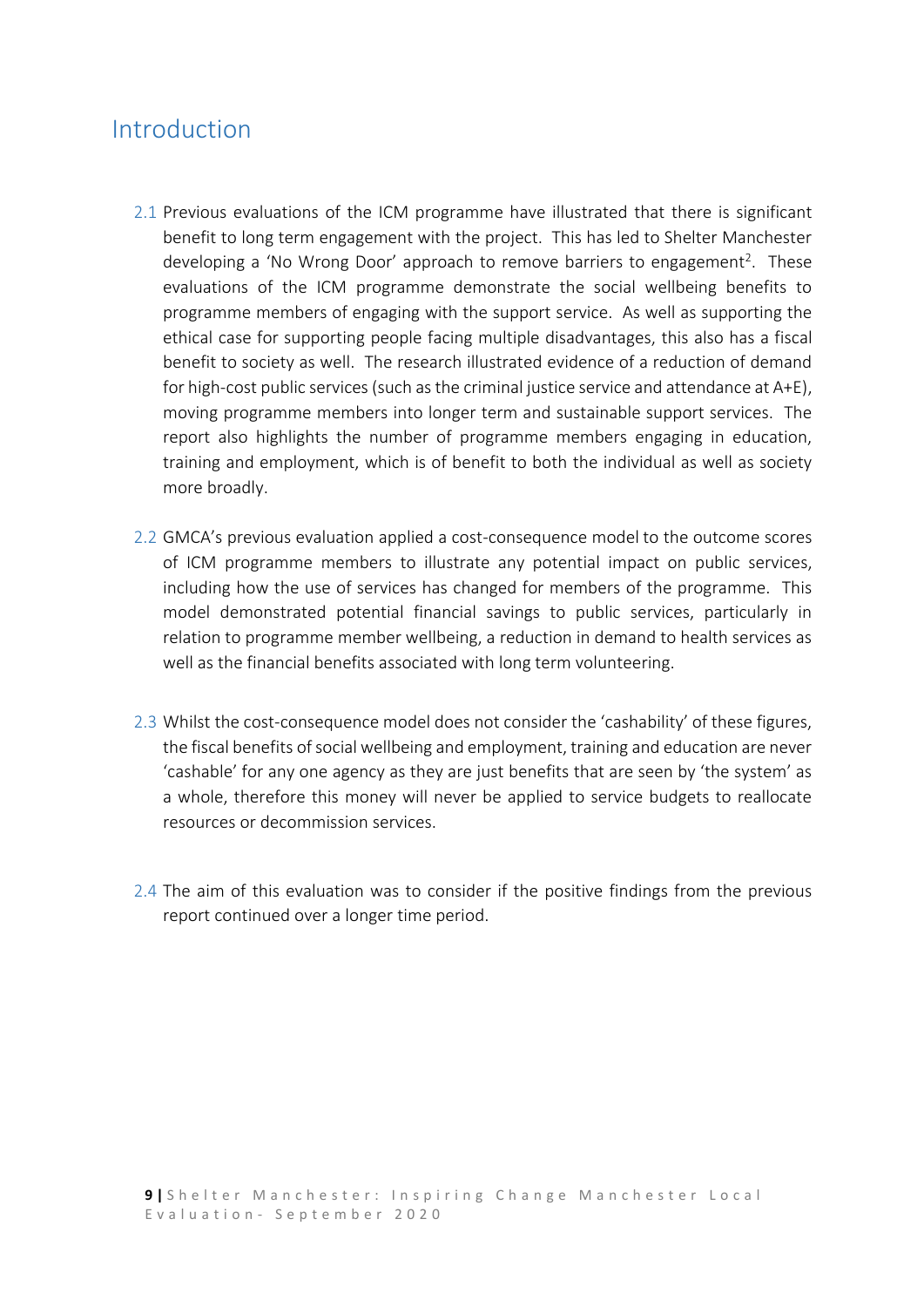## <span id="page-8-0"></span>Introduction

- 2.1 Previous evaluations of the ICM programme have illustrated that there is significant benefit to long term engagement with the project. This has led to Shelter Manchester developing a 'No Wrong Door' approach to remove barriers to engagement<sup>2</sup>. These evaluations of the ICM programme demonstrate the social wellbeing benefits to programme members of engaging with the support service. As well as supporting the ethical case for supporting people facing multiple disadvantages, this also has a fiscal benefit to society as well. The research illustrated evidence of a reduction of demand for high-cost public services (such as the criminal justice service and attendance at A+E), moving programme members into longer term and sustainable support services. The report also highlights the number of programme members engaging in education, training and employment, which is of benefit to both the individual as well as society more broadly.
- 2.2 GMCA's previous evaluation applied a cost-consequence model to the outcome scores of ICM programme members to illustrate any potential impact on public services, including how the use of services has changed for members of the programme. This model demonstrated potential financial savings to public services, particularly in relation to programme member wellbeing, a reduction in demand to health services as well as the financial benefits associated with long term volunteering.
- 2.3 Whilst the cost-consequence model does not consider the 'cashability' of these figures, the fiscal benefits of social wellbeing and employment, training and education are never 'cashable' for any one agency as they are just benefits that are seen by 'the system' as a whole, therefore this money will never be applied to service budgets to reallocate resources or decommission services.
- 2.4 The aim of this evaluation was to consider if the positive findings from the previous report continued over a longer time period.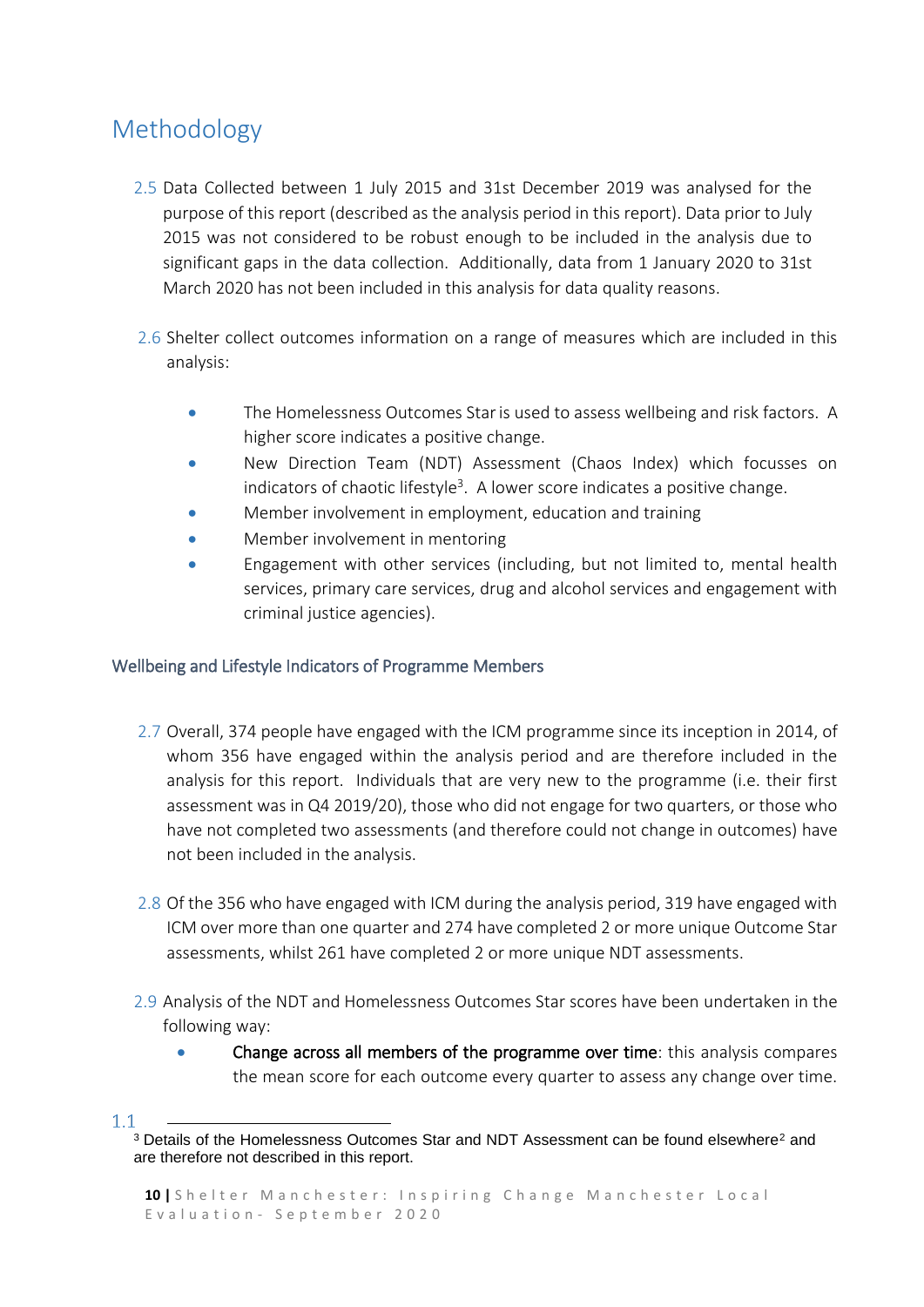## <span id="page-9-0"></span>Methodology

- 2.5 Data Collected between 1 July 2015 and 31st December 2019 was analysed for the purpose of this report (described as the analysis period in this report). Data prior to July 2015 was not considered to be robust enough to be included in the analysis due to significant gaps in the data collection. Additionally, data from 1 January 2020 to 31st March 2020 has not been included in this analysis for data quality reasons.
- 2.6 Shelter collect outcomes information on a range of measures which are included in this analysis:
	- The Homelessness Outcomes Star is used to assess wellbeing and risk factors. A higher score indicates a positive change.
	- New Direction Team (NDT) Assessment (Chaos Index) which focusses on indicators of chaotic lifestyle<sup>3</sup>. A lower score indicates a positive change.
	- Member involvement in employment, education and training
	- Member involvement in mentoring
	- Engagement with other services (including, but not limited to, mental health services, primary care services, drug and alcohol services and engagement with criminal justice agencies).

### <span id="page-9-1"></span>Wellbeing and Lifestyle Indicators of Programme Members

- 2.7 Overall, 374 people have engaged with the ICM programme since its inception in 2014, of whom 356 have engaged within the analysis period and are therefore included in the analysis for this report. Individuals that are very new to the programme (i.e. their first assessment was in Q4 2019/20), those who did not engage for two quarters, or those who have not completed two assessments (and therefore could not change in outcomes) have not been included in the analysis.
- 2.8 Of the 356 who have engaged with ICM during the analysis period, 319 have engaged with ICM over more than one quarter and 274 have completed 2 or more unique Outcome Star assessments, whilst 261 have completed 2 or more unique NDT assessments.
- 2.9 Analysis of the NDT and Homelessness Outcomes Star scores have been undertaken in the following way:
	- Change across all members of the programme over time: this analysis compares the mean score for each outcome every quarter to assess any change over time.

 $1.1$ 

<sup>1</sup> <sup>3</sup> Details of the Homelessness Outcomes Star and NDT Assessment can be found elsewhere<sup>2</sup> and are therefore not described in this report.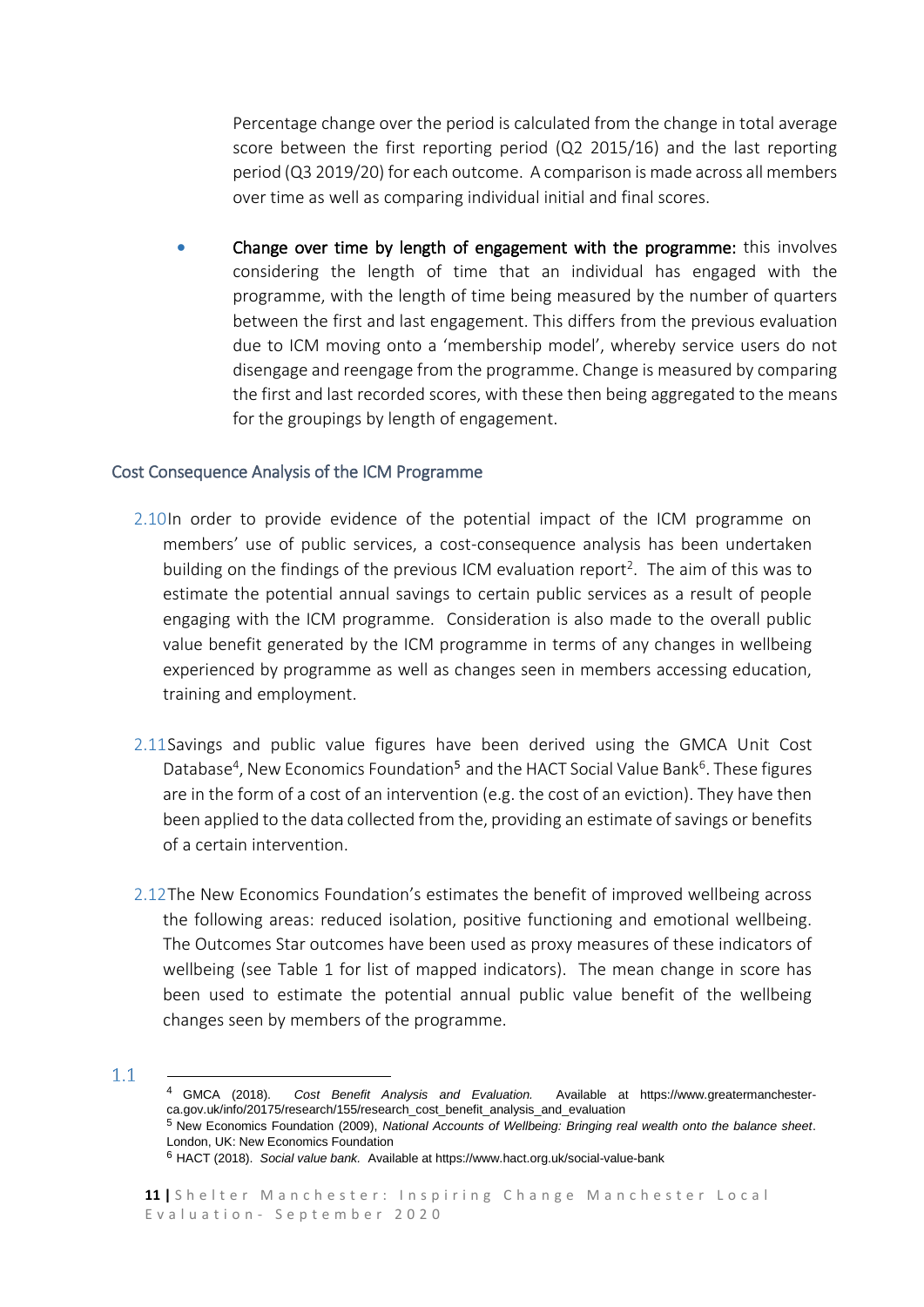Percentage change over the period is calculated from the change in total average score between the first reporting period (Q2 2015/16) and the last reporting period (Q3 2019/20) for each outcome. A comparison is made across all members over time as well as comparing individual initial and final scores.

• Change over time by length of engagement with the programme: this involves considering the length of time that an individual has engaged with the programme, with the length of time being measured by the number of quarters between the first and last engagement. This differs from the previous evaluation due to ICM moving onto a 'membership model', whereby service users do not disengage and reengage from the programme. Change is measured by comparing the first and last recorded scores, with these then being aggregated to the means for the groupings by length of engagement.

#### <span id="page-10-0"></span>Cost Consequence Analysis of the ICM Programme

- 2.10In order to provide evidence of the potential impact of the ICM programme on members' use of public services, a cost-consequence analysis has been undertaken building on the findings of the previous ICM evaluation report<sup>2</sup>. The aim of this was to estimate the potential annual savings to certain public services as a result of people engaging with the ICM programme. Consideration is also made to the overall public value benefit generated by the ICM programme in terms of any changes in wellbeing experienced by programme as well as changes seen in members accessing education, training and employment.
- 2.11Savings and public value figures have been derived using the GMCA Unit Cost Database<sup>4</sup>, New Economics Foundation<sup>5</sup> and the HACT Social Value Bank<sup>6</sup>. These figures are in the form of a cost of an intervention (e.g. the cost of an eviction). They have then been applied to the data collected from the, providing an estimate of savings or benefits of a certain intervention.
- 2.12The New Economics Foundation's estimates the benefit of improved wellbeing across the following areas: reduced isolation, positive functioning and emotional wellbeing. The Outcomes Star outcomes have been used as proxy measures of these indicators of wellbeing (see Table 1 for list of mapped indicators). The mean change in score has been used to estimate the potential annual public value benefit of the wellbeing changes seen by members of the programme.
- $1.1$

**-**

<sup>4</sup> GMCA (2018). *Cost Benefit Analysis and Evaluation.* Available at https://www.greatermanchesterca.gov.uk/info/20175/research/155/research\_cost\_benefit\_analysis\_and\_evaluation

<sup>5</sup> New Economics Foundation (2009), *National Accounts of Wellbeing: Bringing real wealth onto the balance sheet*. London, UK: New Economics Foundation

<sup>6</sup> HACT (2018). *Social value bank.* Available at https://www.hact.org.uk/social-value-bank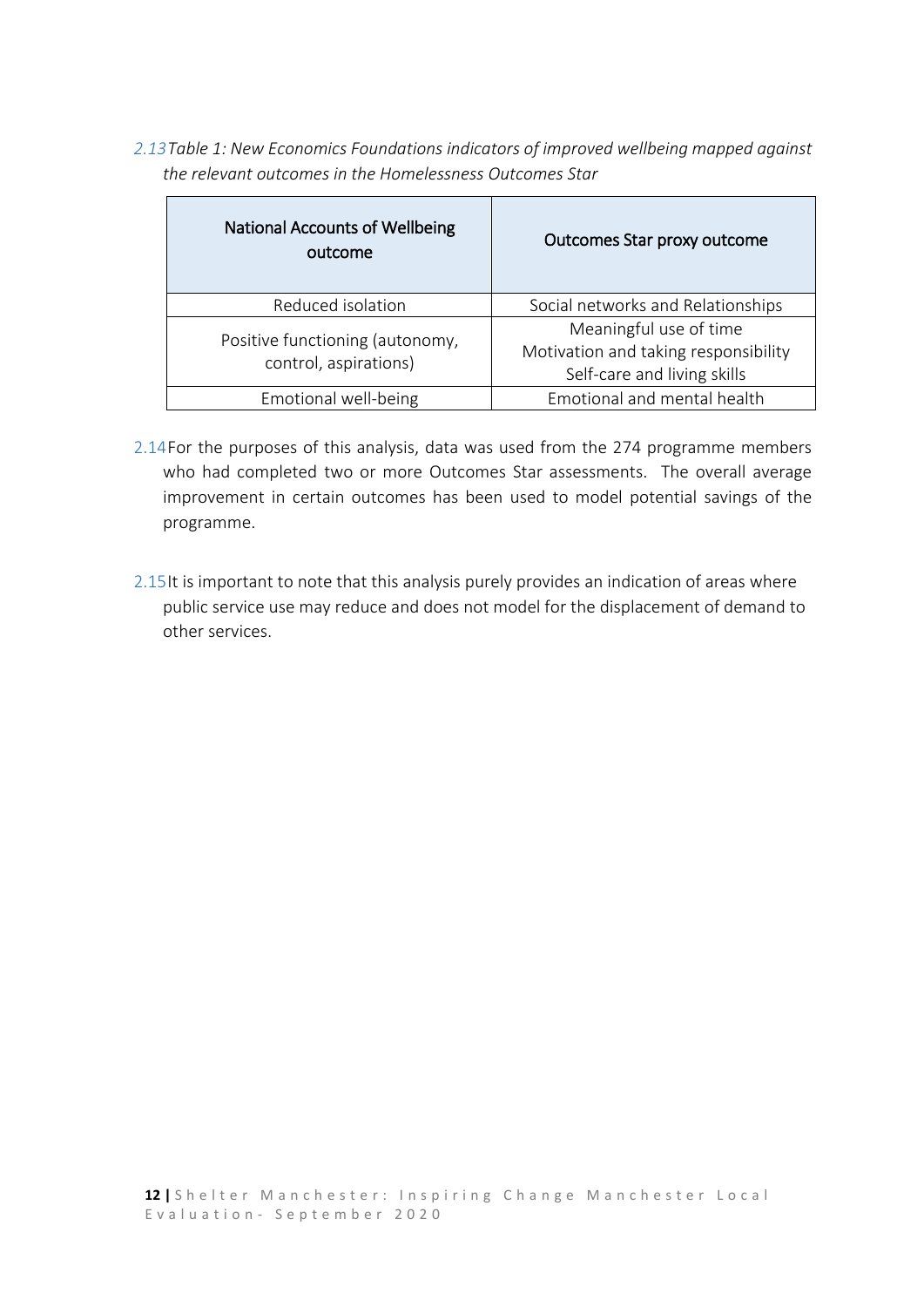*2.13Table 1: New Economics Foundations indicators of improved wellbeing mapped against the relevant outcomes in the Homelessness Outcomes Star*

| <b>National Accounts of Wellbeing</b><br>outcome         | Outcomes Star proxy outcome                                                                   |
|----------------------------------------------------------|-----------------------------------------------------------------------------------------------|
| Reduced isolation                                        | Social networks and Relationships                                                             |
| Positive functioning (autonomy,<br>control, aspirations) | Meaningful use of time<br>Motivation and taking responsibility<br>Self-care and living skills |
| Emotional well-being                                     | Emotional and mental health                                                                   |

- 2.14For the purposes of this analysis, data was used from the 274 programme members who had completed two or more Outcomes Star assessments. The overall average improvement in certain outcomes has been used to model potential savings of the programme.
- 2.15It is important to note that this analysis purely provides an indication of areas where public service use may reduce and does not model for the displacement of demand to other services.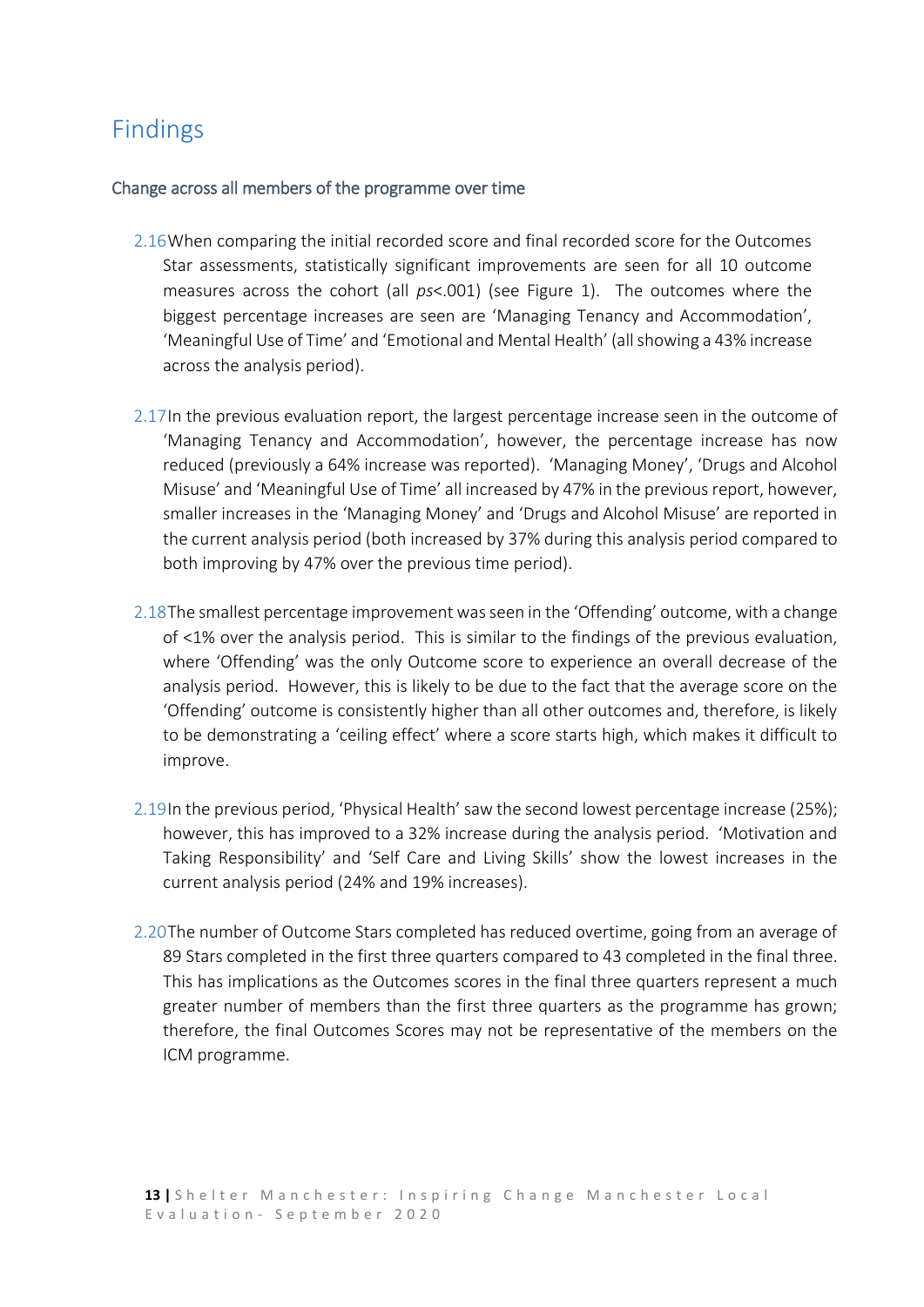## <span id="page-12-0"></span>Findings

#### <span id="page-12-1"></span>Change across all members of the programme over time

- 2.16When comparing the initial recorded score and final recorded score for the Outcomes Star assessments, statistically significant improvements are seen for all 10 outcome measures across the cohort (all *ps*<.001) (see Figure 1). The outcomes where the biggest percentage increases are seen are 'Managing Tenancy and Accommodation', 'Meaningful Use of Time' and 'Emotional and Mental Health' (all showing a 43% increase across the analysis period).
- 2.17In the previous evaluation report, the largest percentage increase seen in the outcome of 'Managing Tenancy and Accommodation', however, the percentage increase has now reduced (previously a 64% increase was reported). 'Managing Money', 'Drugs and Alcohol Misuse' and 'Meaningful Use of Time' all increased by 47% in the previous report, however, smaller increases in the 'Managing Money' and 'Drugs and Alcohol Misuse' are reported in the current analysis period (both increased by 37% during this analysis period compared to both improving by 47% over the previous time period).
- 2.18The smallest percentage improvement wasseen in the 'Offending' outcome, with a change of <1% over the analysis period. This is similar to the findings of the previous evaluation, where 'Offending' was the only Outcome score to experience an overall decrease of the analysis period. However, this is likely to be due to the fact that the average score on the 'Offending' outcome is consistently higher than all other outcomes and, therefore, is likely to be demonstrating a 'ceiling effect' where a score starts high, which makes it difficult to improve.
- 2.19In the previous period, 'Physical Health' saw the second lowest percentage increase (25%); however, this has improved to a 32% increase during the analysis period. 'Motivation and Taking Responsibility' and 'Self Care and Living Skills' show the lowest increases in the current analysis period (24% and 19% increases).
- 2.20The number of Outcome Stars completed has reduced overtime, going from an average of 89 Stars completed in the first three quarters compared to 43 completed in the final three. This has implications as the Outcomes scores in the final three quarters represent a much greater number of members than the first three quarters as the programme has grown; therefore, the final Outcomes Scores may not be representative of the members on the ICM programme.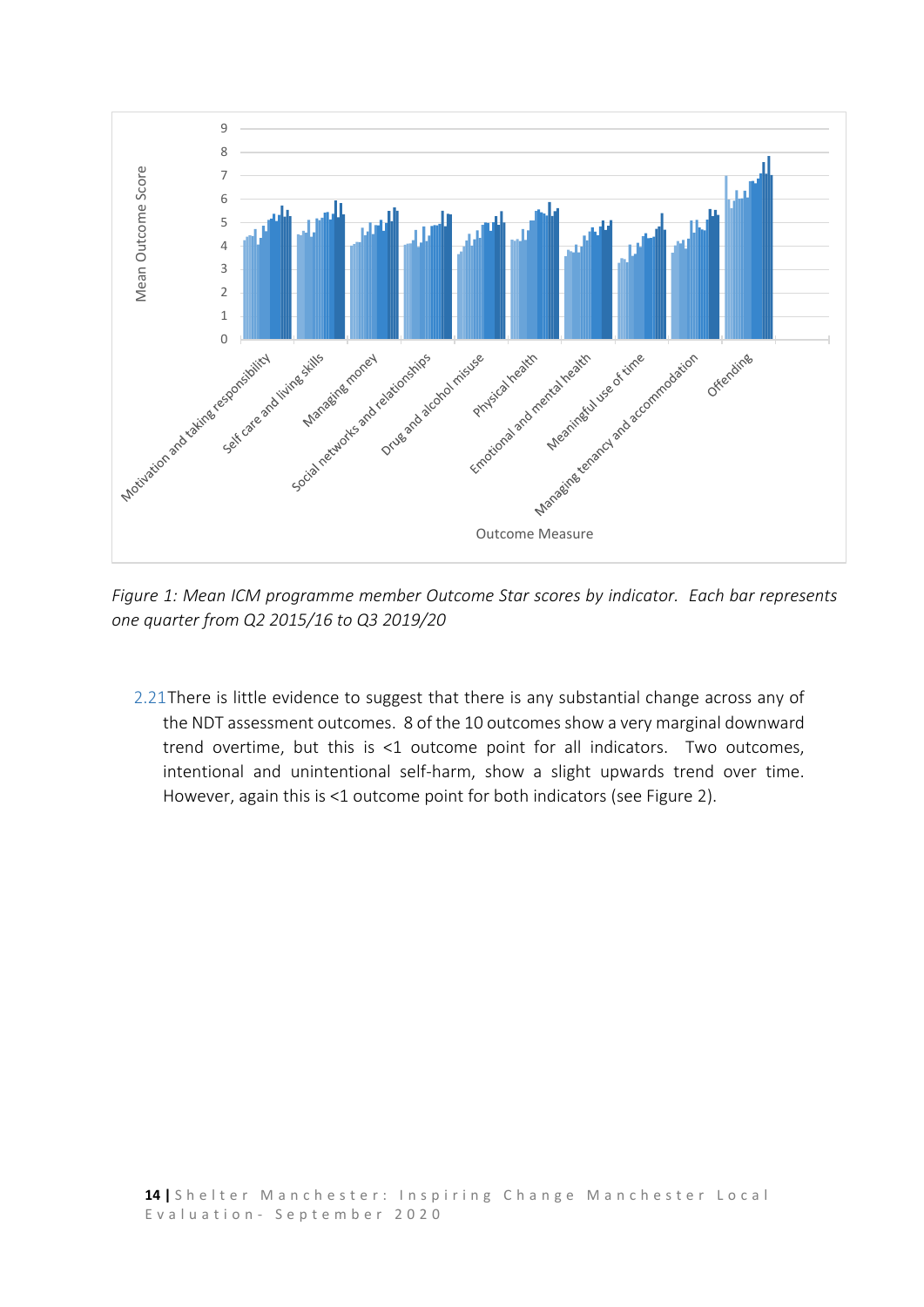

*Figure 1: Mean ICM programme member Outcome Star scores by indicator. Each bar represents one quarter from Q2 2015/16 to Q3 2019/20*

2.21There is little evidence to suggest that there is any substantial change across any of the NDT assessment outcomes. 8 of the 10 outcomes show a very marginal downward trend overtime, but this is <1 outcome point for all indicators. Two outcomes, intentional and unintentional self-harm, show a slight upwards trend over time. However, again this is <1 outcome point for both indicators (see Figure 2).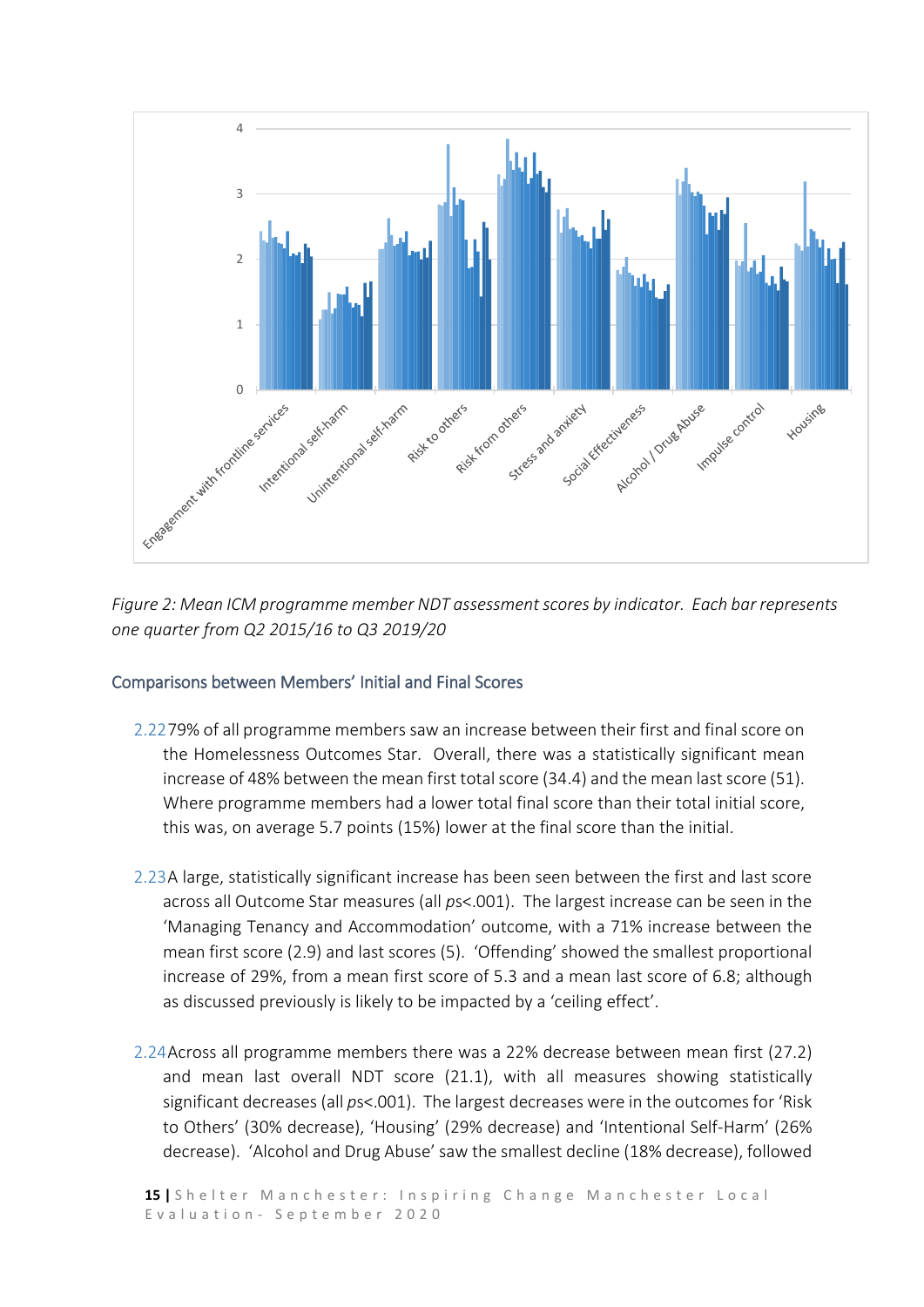

*Figure 2: Mean ICM programme member NDT assessment scores by indicator. Each bar represents one quarter from Q2 2015/16 to Q3 2019/20*

#### <span id="page-14-0"></span>Comparisons between Members' Initial and Final Scores

- 2.2279% of all programme members saw an increase between their first and final score on the Homelessness Outcomes Star. Overall, there was a statistically significant mean increase of 48% between the mean first total score (34.4) and the mean last score (51). Where programme members had a lower total final score than their total initial score, this was, on average 5.7 points (15%) lower at the final score than the initial.
- 2.23A large, statistically significant increase has been seen between the first and last score across all Outcome Star measures (all *p*s<.001). The largest increase can be seen in the 'Managing Tenancy and Accommodation' outcome, with a 71% increase between the mean first score (2.9) and last scores (5). 'Offending' showed the smallest proportional increase of 29%, from a mean first score of 5.3 and a mean last score of 6.8; although as discussed previously is likely to be impacted by a 'ceiling effect'.
- 2.24Across all programme members there was a 22% decrease between mean first (27.2) and mean last overall NDT score (21.1), with all measures showing statistically significant decreases (all *p*s<.001). The largest decreases were in the outcomes for 'Risk to Others' (30% decrease), 'Housing' (29% decrease) and 'Intentional Self-Harm' (26% decrease). 'Alcohol and Drug Abuse' saw the smallest decline (18% decrease), followed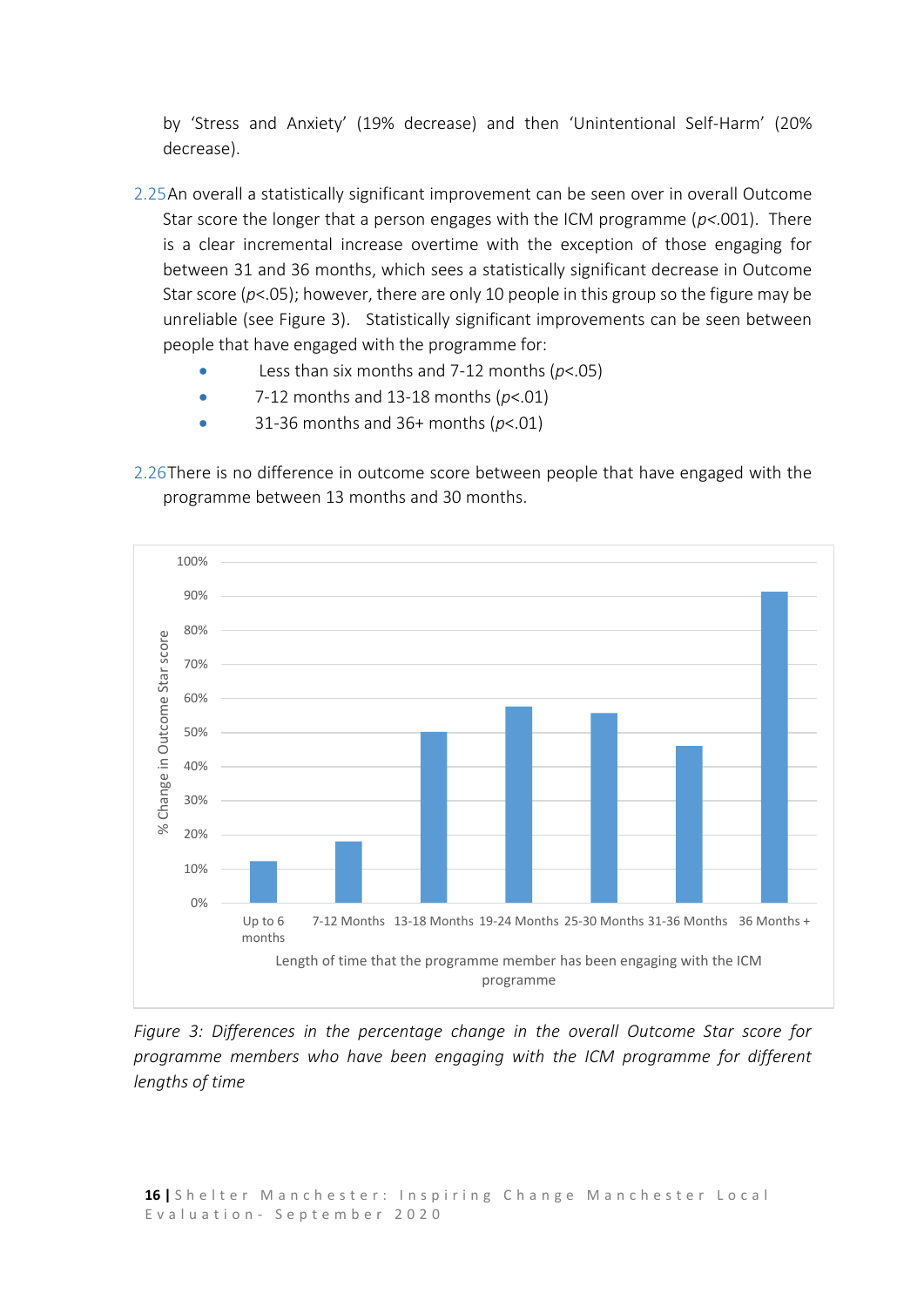by 'Stress and Anxiety' (19% decrease) and then 'Unintentional Self-Harm' (20% decrease).

- 2.25An overall a statistically significant improvement can be seen over in overall Outcome Star score the longer that a person engages with the ICM programme (*p<*.001). There is a clear incremental increase overtime with the exception of those engaging for between 31 and 36 months, which sees a statistically significant decrease in Outcome Star score (*p*<.05); however, there are only 10 people in this group so the figure may be unreliable (see Figure 3). Statistically significant improvements can be seen between people that have engaged with the programme for:
	- Less than six months and 7-12 months (*p*<.05)
	- 7-12 months and 13-18 months (*p*<.01)
	- 31-36 months and 36+ months (*p*<.01)

2.26There is no difference in outcome score between people that have engaged with the programme between 13 months and 30 months.



*Figure 3: Differences in the percentage change in the overall Outcome Star score for programme members who have been engaging with the ICM programme for different lengths of time*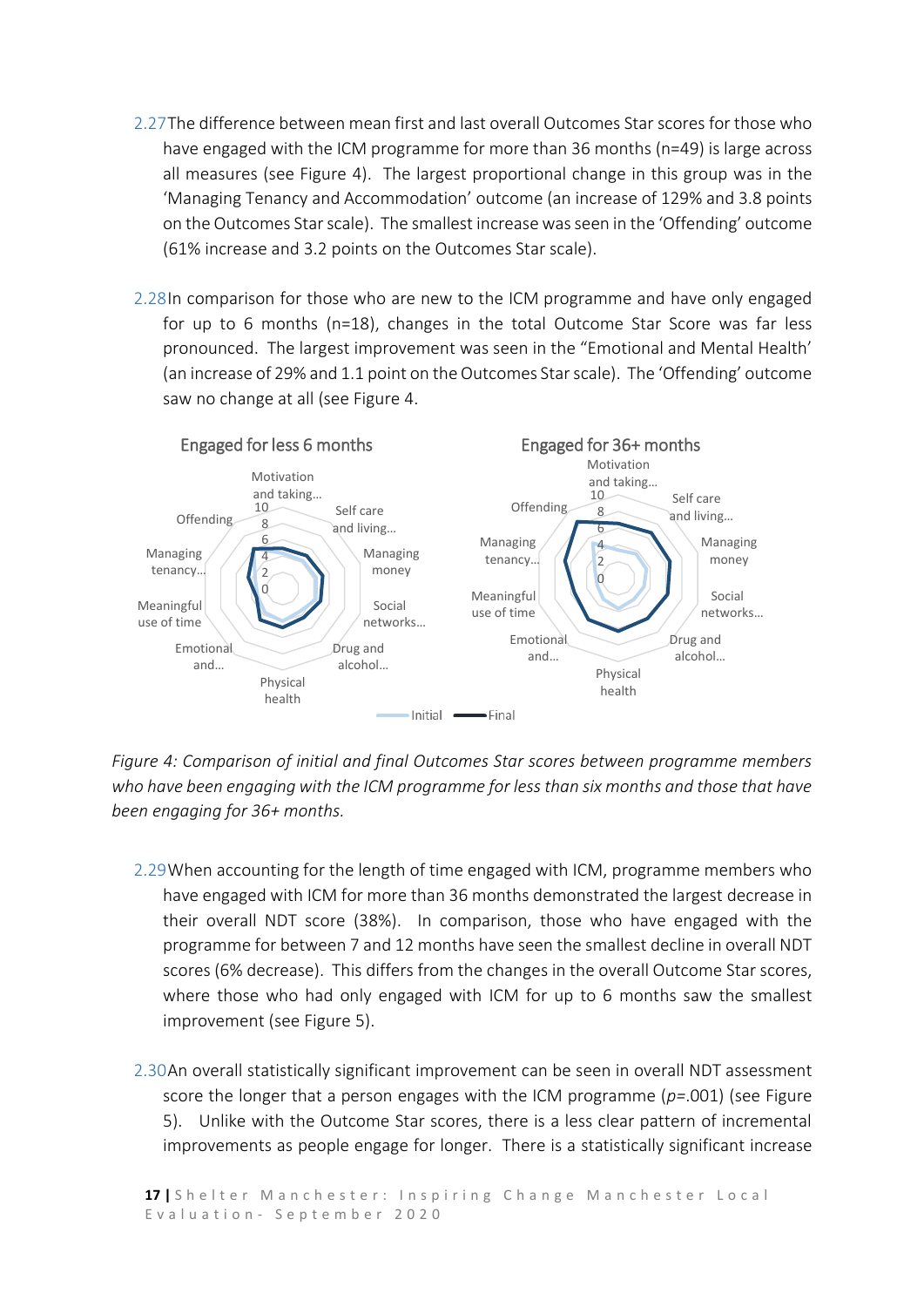- 2.27The difference between mean first and last overall Outcomes Star scores for those who have engaged with the ICM programme for more than 36 months (n=49) is large across all measures (see Figure 4). The largest proportional change in this group was in the 'Managing Tenancy and Accommodation' outcome (an increase of 129% and 3.8 points on the Outcomes Star scale). The smallest increase wasseen in the 'Offending' outcome (61% increase and 3.2 points on the Outcomes Star scale).
- 2.28In comparison for those who are new to the ICM programme and have only engaged for up to 6 months (n=18), changes in the total Outcome Star Score was far less pronounced. The largest improvement was seen in the "Emotional and Mental Health' (an increase of 29% and 1.1 point on the Outcomes Star scale). The 'Offending' outcome saw no change at all (see Figure 4.



*Figure 4: Comparison of initial and final Outcomes Star scores between programme members who have been engaging with the ICM programme for less than six months and those that have been engaging for 36+ months.*

- 2.29When accounting for the length of time engaged with ICM, programme members who have engaged with ICM for more than 36 months demonstrated the largest decrease in their overall NDT score (38%). In comparison, those who have engaged with the programme for between 7 and 12 months have seen the smallest decline in overall NDT scores (6% decrease). This differs from the changes in the overall Outcome Star scores, where those who had only engaged with ICM for up to 6 months saw the smallest improvement (see Figure 5).
- 2.30An overall statistically significant improvement can be seen in overall NDT assessment score the longer that a person engages with the ICM programme (*p=*.001) (see Figure 5). Unlike with the Outcome Star scores, there is a less clear pattern of incremental improvements as people engage for longer. There is a statistically significant increase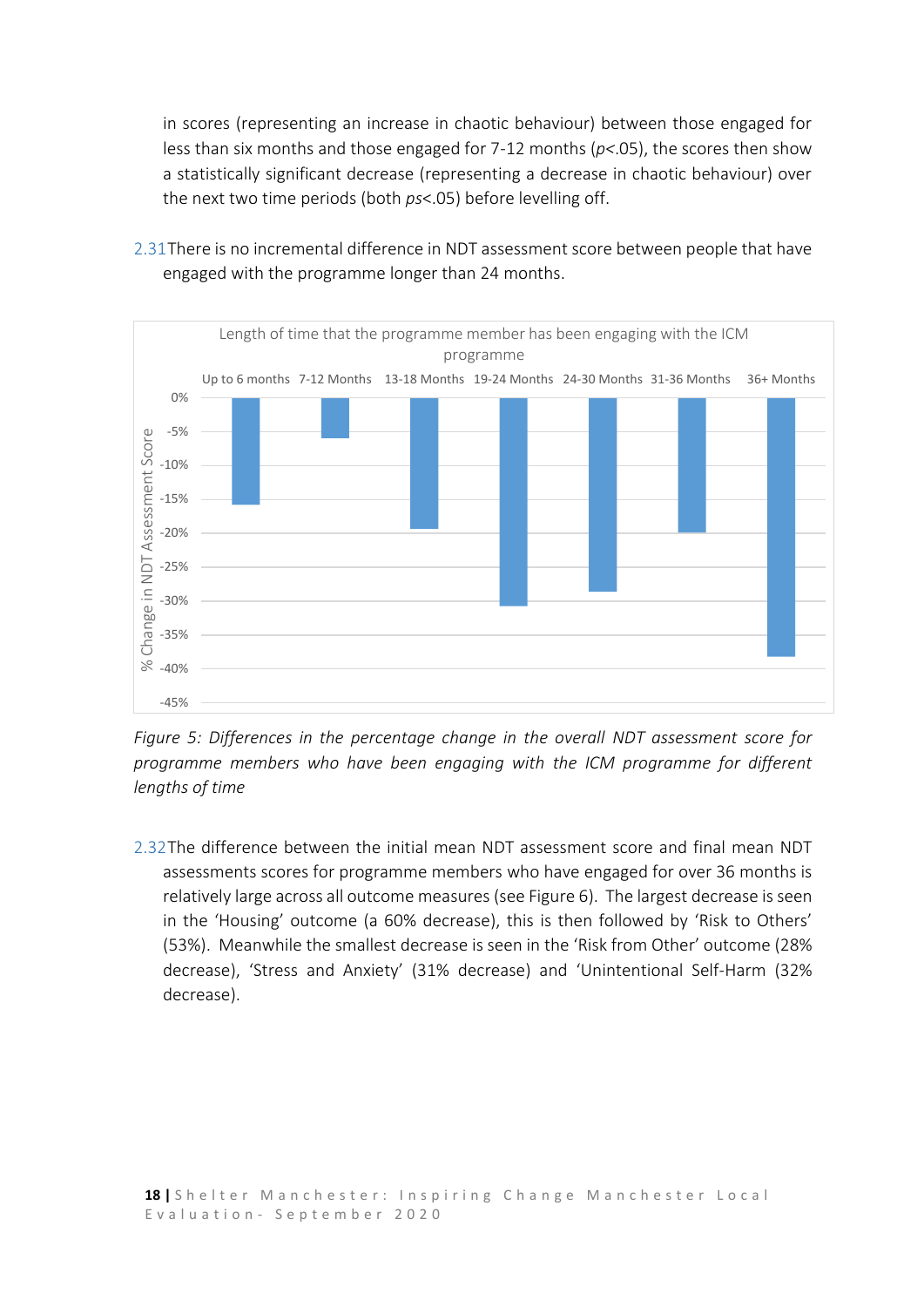in scores (representing an increase in chaotic behaviour) between those engaged for less than six months and those engaged for 7-12 months (*p<*.05), the scores then show a statistically significant decrease (representing a decrease in chaotic behaviour) over the next two time periods (both *ps*<.05) before levelling off.



2.31There is no incremental difference in NDT assessment score between people that have engaged with the programme longer than 24 months.

*Figure 5: Differences in the percentage change in the overall NDT assessment score for programme members who have been engaging with the ICM programme for different lengths of time*

2.32The difference between the initial mean NDT assessment score and final mean NDT assessments scores for programme members who have engaged for over 36 months is relatively large across all outcome measures (see Figure 6). The largest decrease is seen in the 'Housing' outcome (a 60% decrease), this is then followed by 'Risk to Others' (53%). Meanwhile the smallest decrease is seen in the 'Risk from Other' outcome (28% decrease), 'Stress and Anxiety' (31% decrease) and 'Unintentional Self-Harm (32% decrease).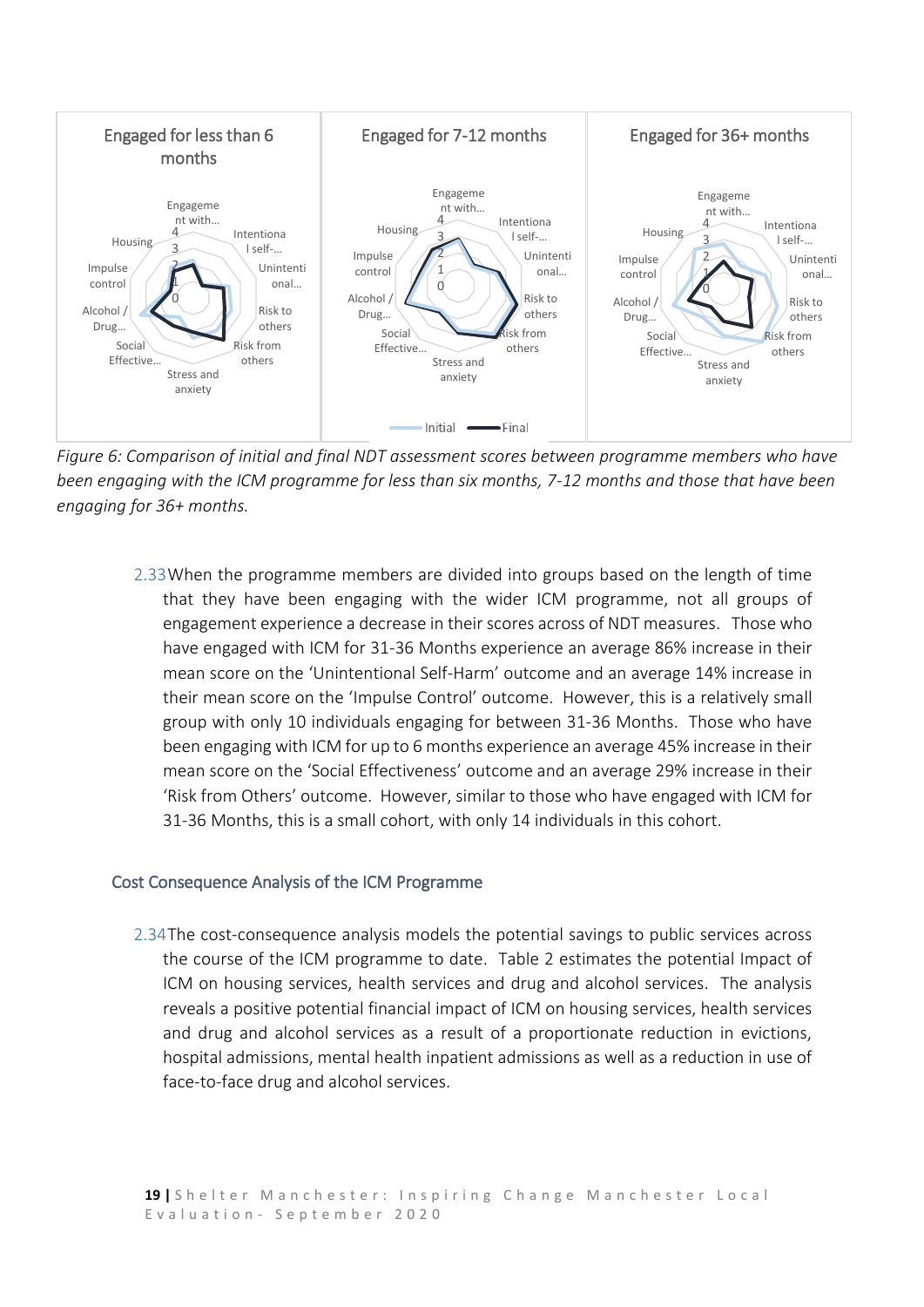

*Figure 6: Comparison of initial and final NDT assessment scores between programme members who have been engaging with the ICM programme for less than six months, 7-12 months and those that have been engaging for 36+ months.*

2.33When the programme members are divided into groups based on the length of time that they have been engaging with the wider ICM programme, not all groups of engagement experience a decrease in their scores across of NDT measures. Those who have engaged with ICM for 31-36 Months experience an average 86% increase in their mean score on the 'Unintentional Self-Harm' outcome and an average 14% increase in their mean score on the 'Impulse Control' outcome. However, this is a relatively small group with only 10 individuals engaging for between 31-36 Months. Those who have been engaging with ICM for up to 6 months experience an average 45% increase in their mean score on the 'Social Effectiveness' outcome and an average 29% increase in their 'Risk from Others' outcome. However, similar to those who have engaged with ICM for 31-36 Months, this is a small cohort, with only 14 individuals in this cohort.

#### <span id="page-18-0"></span>Cost Consequence Analysis of the ICM Programme

2.34The cost-consequence analysis models the potential savings to public services across the course of the ICM programme to date. Table 2 estimates the potential Impact of ICM on housing services, health services and drug and alcohol services. The analysis reveals a positive potential financial impact of ICM on housing services, health services and drug and alcohol services as a result of a proportionate reduction in evictions, hospital admissions, mental health inpatient admissions as well as a reduction in use of face-to-face drug and alcohol services.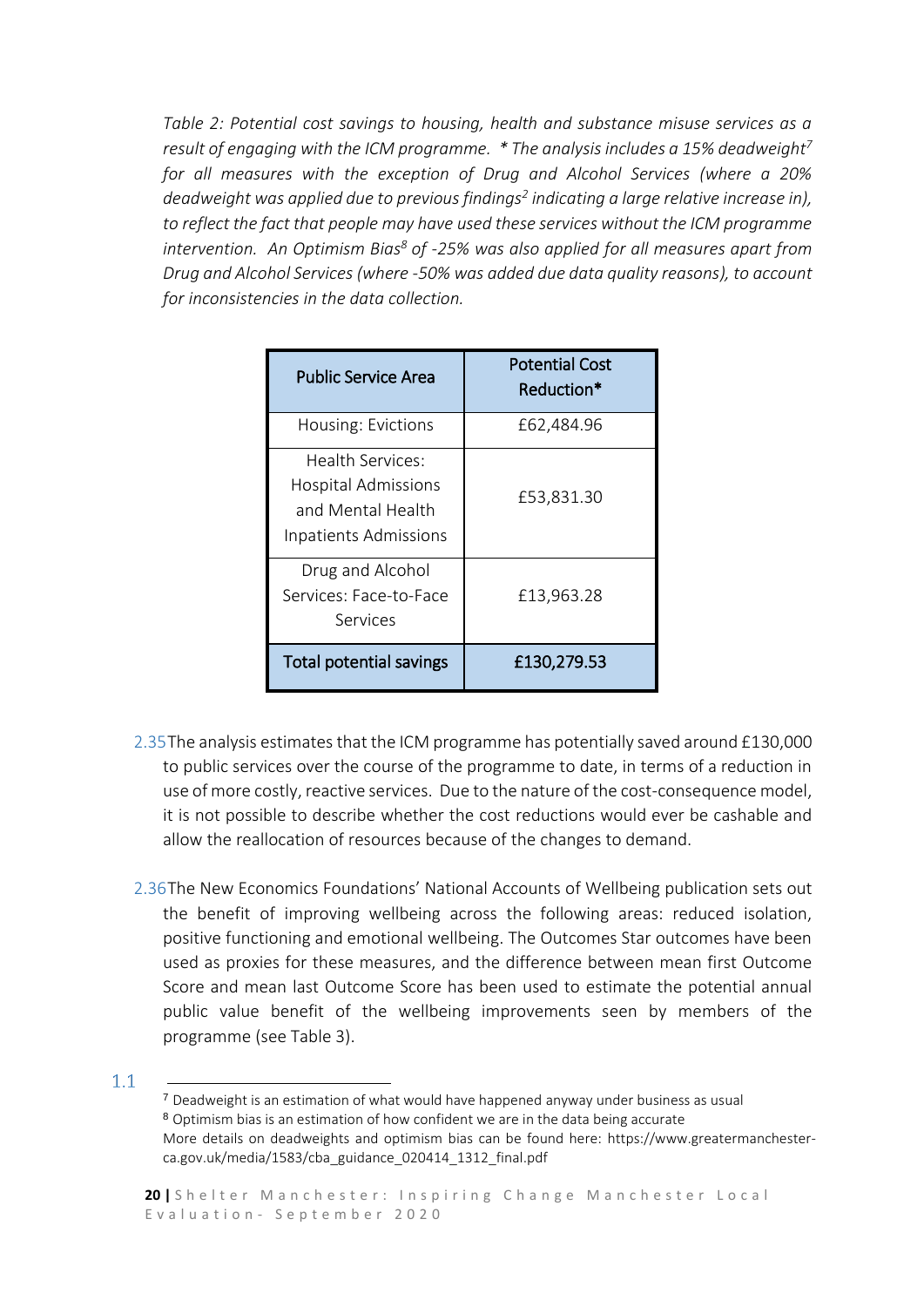*Table 2: Potential cost savings to housing, health and substance misuse services as a result of engaging with the ICM programme. \* The analysis includes a 15% deadweight<sup>7</sup> for all measures with the exception of Drug and Alcohol Services (where a 20% deadweight was applied due to previous findings<sup>2</sup> indicating a large relative increase in), to reflect the fact that people may have used these services without the ICM programme intervention. An Optimism Bias<sup>8</sup> of -25% was also applied for all measures apart from Drug and Alcohol Services (where -50% was added due data quality reasons), to account for inconsistencies in the data collection.* 

| Public Service Area                                                                          | <b>Potential Cost</b><br>Reduction* |
|----------------------------------------------------------------------------------------------|-------------------------------------|
| Housing: Evictions                                                                           | £62,484.96                          |
| Health Services:<br><b>Hospital Admissions</b><br>and Mental Health<br>Inpatients Admissions | £53,831.30                          |
| Drug and Alcohol<br>Services: Face-to-Face<br>Services                                       | £13,963.28                          |
| <b>Total potential savings</b>                                                               | £130,279.53                         |

- 2.35The analysis estimates that the ICM programme has potentially saved around £130,000 to public services over the course of the programme to date, in terms of a reduction in use of more costly, reactive services. Due to the nature of the cost-consequence model, it is not possible to describe whether the cost reductions would ever be cashable and allow the reallocation of resources because of the changes to demand.
- 2.36The New Economics Foundations' National Accounts of Wellbeing publication sets out the benefit of improving wellbeing across the following areas: reduced isolation, positive functioning and emotional wellbeing. The Outcomes Star outcomes have been used as proxies for these measures, and the difference between mean first Outcome Score and mean last Outcome Score has been used to estimate the potential annual public value benefit of the wellbeing improvements seen by members of the programme (see Table 3).

 $1.1$ 

<sup>1</sup> <sup>7</sup> Deadweight is an estimation of what would have happened anyway under business as usual <sup>8</sup> Optimism bias is an estimation of how confident we are in the data being accurate More details on deadweights and optimism bias can be found here: https://www.greatermanchesterca.gov.uk/media/1583/cba\_guidance\_020414\_1312\_final.pdf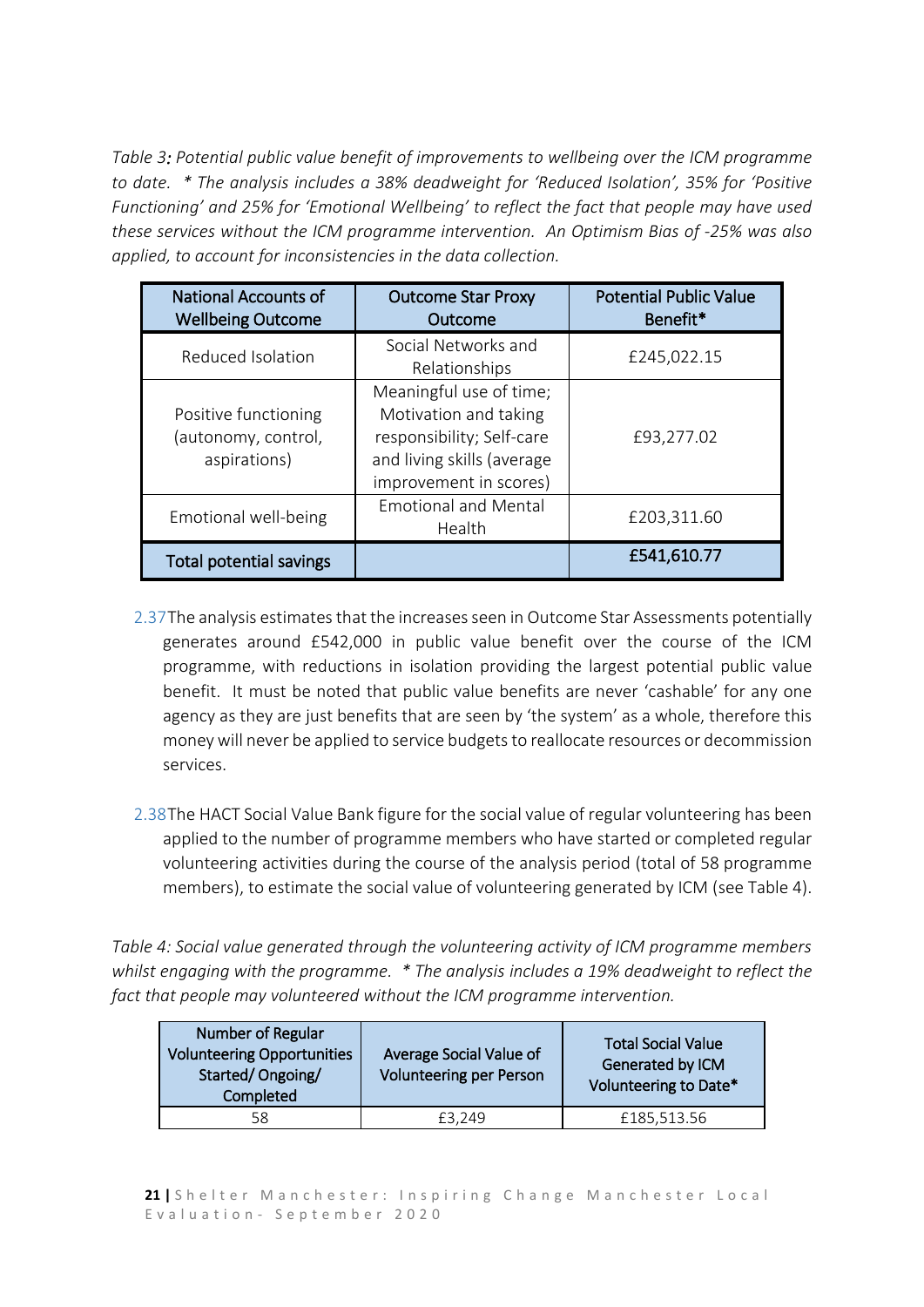*Table 3: Potential public value benefit of improvements to wellbeing over the ICM programme to date. \* The analysis includes a 38% deadweight for 'Reduced Isolation', 35% for 'Positive Functioning' and 25% for 'Emotional Wellbeing' to reflect the fact that people may have used these services without the ICM programme intervention. An Optimism Bias of -25% was also applied, to account for inconsistencies in the data collection.*

| <b>National Accounts of</b><br><b>Wellbeing Outcome</b>     | <b>Outcome Star Proxy</b><br>Outcome                                                                                                  | <b>Potential Public Value</b><br>Benefit* |
|-------------------------------------------------------------|---------------------------------------------------------------------------------------------------------------------------------------|-------------------------------------------|
| Reduced Isolation                                           | Social Networks and<br>Relationships                                                                                                  | £245,022.15                               |
| Positive functioning<br>(autonomy, control,<br>aspirations) | Meaningful use of time;<br>Motivation and taking<br>responsibility; Self-care<br>and living skills (average<br>improvement in scores) | £93,277.02                                |
| Emotional well-being                                        | <b>Emotional and Mental</b><br>Health                                                                                                 | £203,311.60                               |
| <b>Total potential savings</b>                              |                                                                                                                                       | £541,610.77                               |

- 2.37The analysis estimates that the increases seen in Outcome Star Assessments potentially generates around £542,000 in public value benefit over the course of the ICM programme, with reductions in isolation providing the largest potential public value benefit. It must be noted that public value benefits are never 'cashable' for any one agency as they are just benefits that are seen by 'the system' as a whole, therefore this money will never be applied to service budgets to reallocate resources or decommission services.
- 2.38The HACT Social Value Bank figure for the social value of regular volunteering has been applied to the number of programme members who have started or completed regular volunteering activities during the course of the analysis period (total of 58 programme members), to estimate the social value of volunteering generated by ICM (see Table 4).

*Table 4: Social value generated through the volunteering activity of ICM programme members whilst engaging with the programme. \* The analysis includes a 19% deadweight to reflect the fact that people may volunteered without the ICM programme intervention.*

| Number of Regular<br><b>Volunteering Opportunities</b><br>Started/Ongoing/<br>Completed | Average Social Value of<br><b>Volunteering per Person</b> | <b>Total Social Value</b><br>Generated by ICM<br>Volunteering to Date* |
|-----------------------------------------------------------------------------------------|-----------------------------------------------------------|------------------------------------------------------------------------|
| 58                                                                                      | £3.249                                                    | £185,513.56                                                            |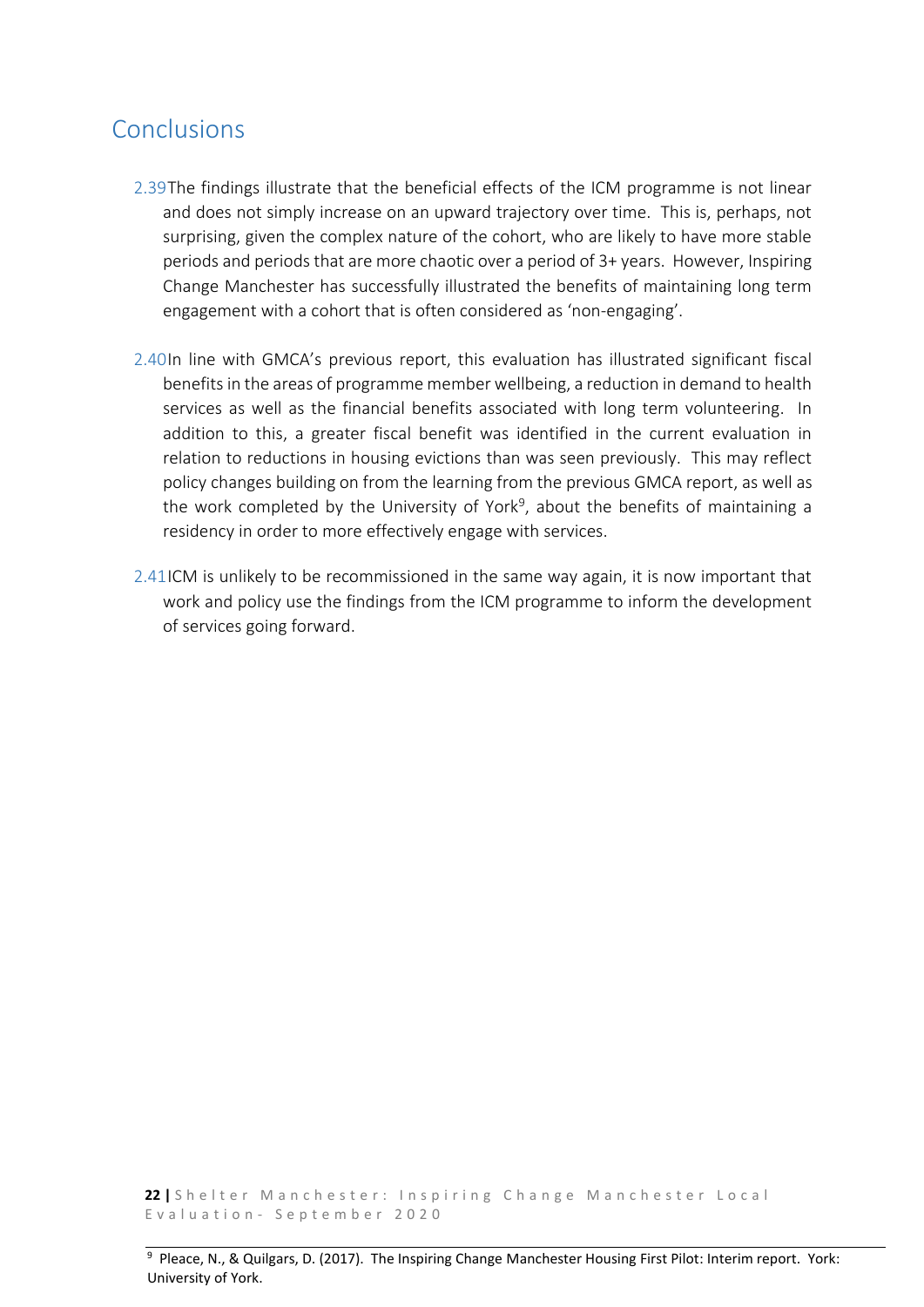## <span id="page-21-0"></span>Conclusions

- 2.39The findings illustrate that the beneficial effects of the ICM programme is not linear and does not simply increase on an upward trajectory over time. This is, perhaps, not surprising, given the complex nature of the cohort, who are likely to have more stable periods and periods that are more chaotic over a period of 3+ years. However, Inspiring Change Manchester has successfully illustrated the benefits of maintaining long term engagement with a cohort that is often considered as 'non-engaging'.
- 2.40In line with GMCA's previous report, this evaluation has illustrated significant fiscal benefits in the areas of programme member wellbeing, a reduction in demand to health services as well as the financial benefits associated with long term volunteering. In addition to this, a greater fiscal benefit was identified in the current evaluation in relation to reductions in housing evictions than was seen previously. This may reflect policy changes building on from the learning from the previous GMCA report, as well as the work completed by the University of York<sup>9</sup>, about the benefits of maintaining a residency in order to more effectively engage with services.
- 2.41ICM is unlikely to be recommissioned in the same way again, it is now important that work and policy use the findings from the ICM programme to inform the development of services going forward.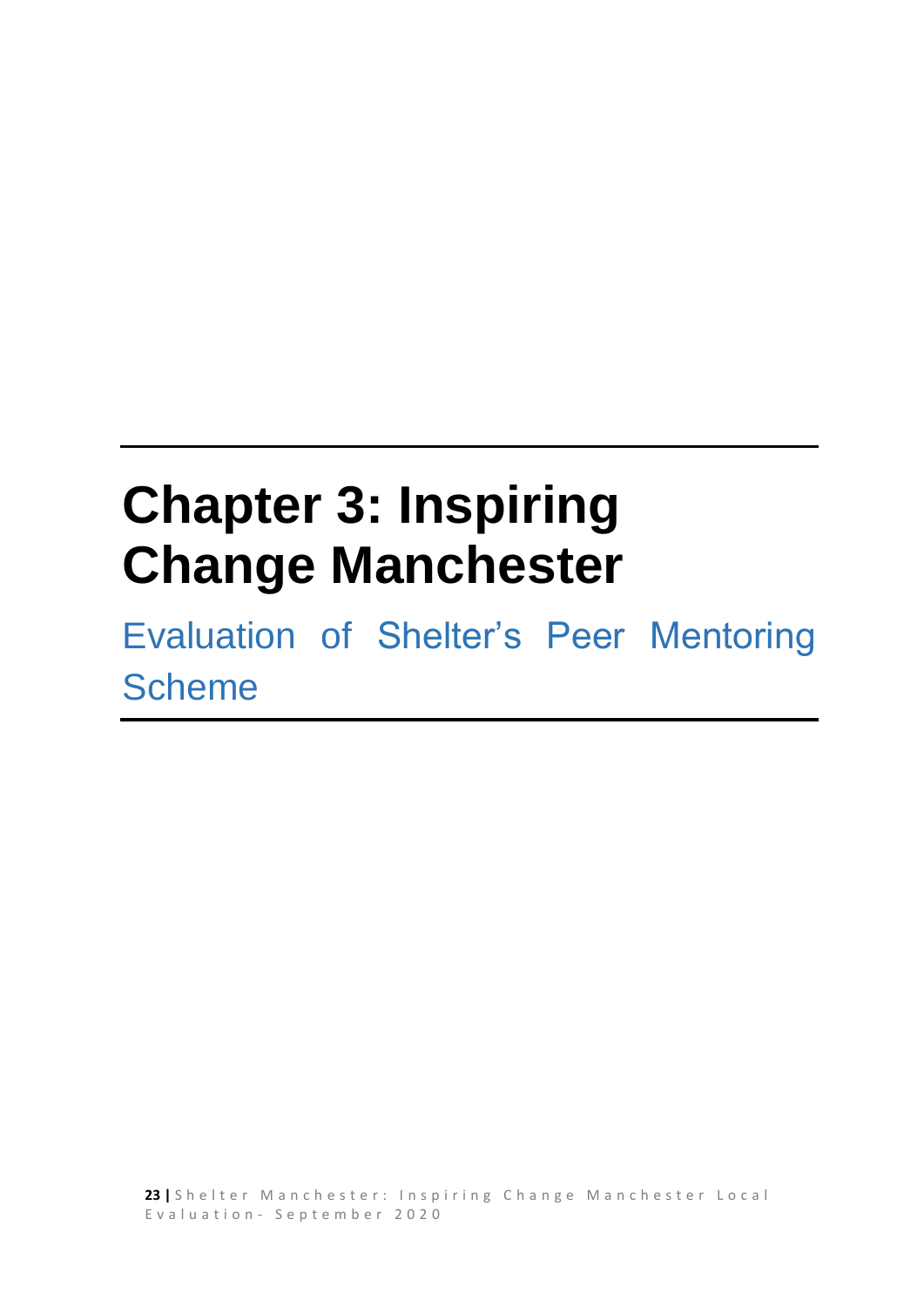# <span id="page-22-0"></span>**Chapter 3: Inspiring Change Manchester**

Evaluation of Shelter's Peer Mentoring **Scheme**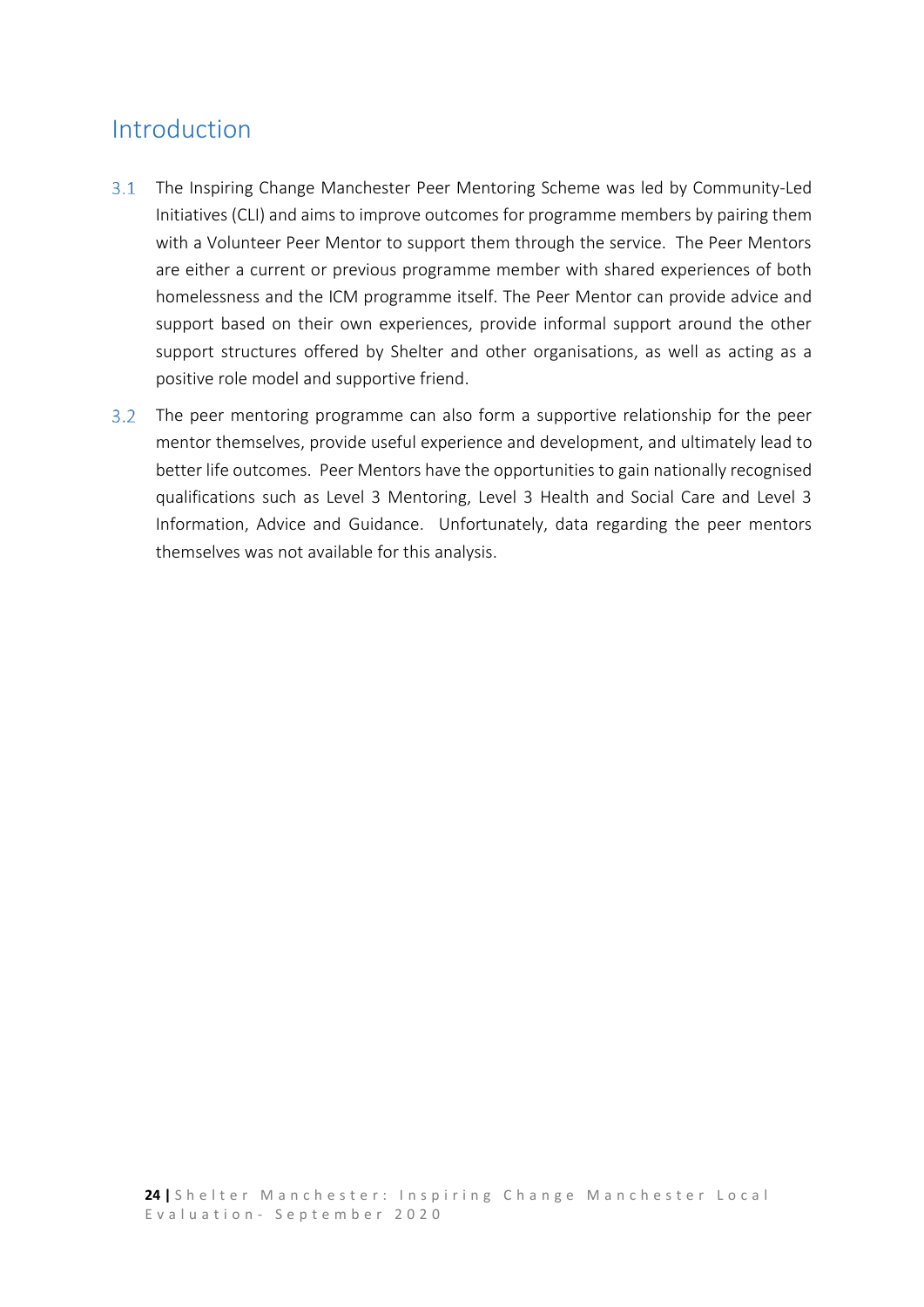## <span id="page-23-0"></span>Introduction

- $3.1$ The Inspiring Change Manchester Peer Mentoring Scheme was led by Community-Led Initiatives (CLI) and aims to improve outcomes for programme members by pairing them with a Volunteer Peer Mentor to support them through the service. The Peer Mentors are either a current or previous programme member with shared experiences of both homelessness and the ICM programme itself. The Peer Mentor can provide advice and support based on their own experiences, provide informal support around the other support structures offered by Shelter and other organisations, as well as acting as a positive role model and supportive friend.
- The peer mentoring programme can also form a supportive relationship for the peer mentor themselves, provide useful experience and development, and ultimately lead to better life outcomes. Peer Mentors have the opportunities to gain nationally recognised qualifications such as Level 3 Mentoring, Level 3 Health and Social Care and Level 3 Information, Advice and Guidance. Unfortunately, data regarding the peer mentors themselves was not available for this analysis.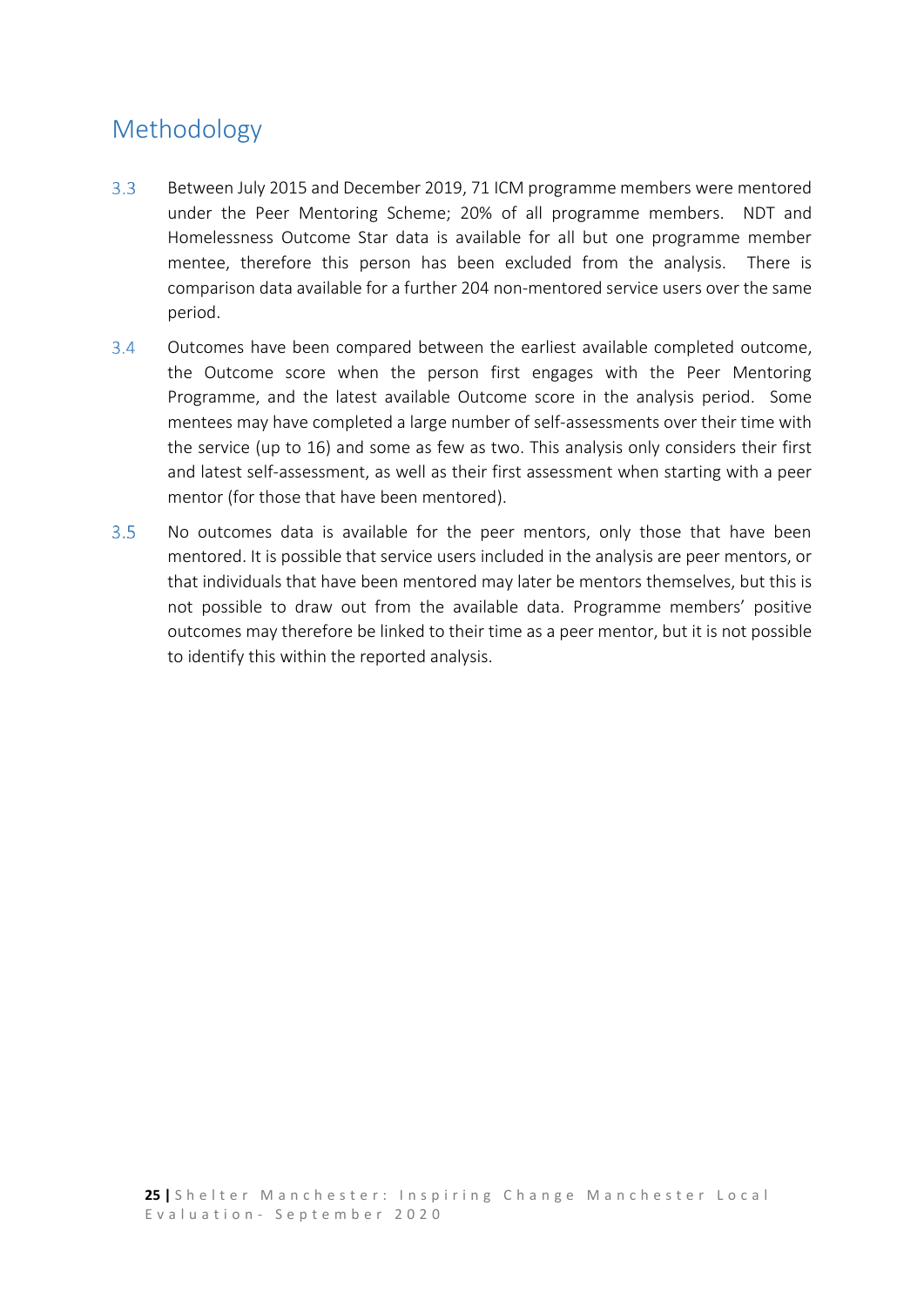## <span id="page-24-0"></span>Methodology

- $3.3<sup>°</sup>$ Between July 2015 and December 2019, 71 ICM programme members were mentored under the Peer Mentoring Scheme; 20% of all programme members. NDT and Homelessness Outcome Star data is available for all but one programme member mentee, therefore this person has been excluded from the analysis. There is comparison data available for a further 204 non-mentored service users over the same period.
- $3.4$ Outcomes have been compared between the earliest available completed outcome, the Outcome score when the person first engages with the Peer Mentoring Programme, and the latest available Outcome score in the analysis period. Some mentees may have completed a large number of self-assessments over their time with the service (up to 16) and some as few as two. This analysis only considers their first and latest self-assessment, as well as their first assessment when starting with a peer mentor (for those that have been mentored).
- $3.5$ No outcomes data is available for the peer mentors, only those that have been mentored. It is possible that service users included in the analysis are peer mentors, or that individuals that have been mentored may later be mentors themselves, but this is not possible to draw out from the available data. Programme members' positive outcomes may therefore be linked to their time as a peer mentor, but it is not possible to identify this within the reported analysis.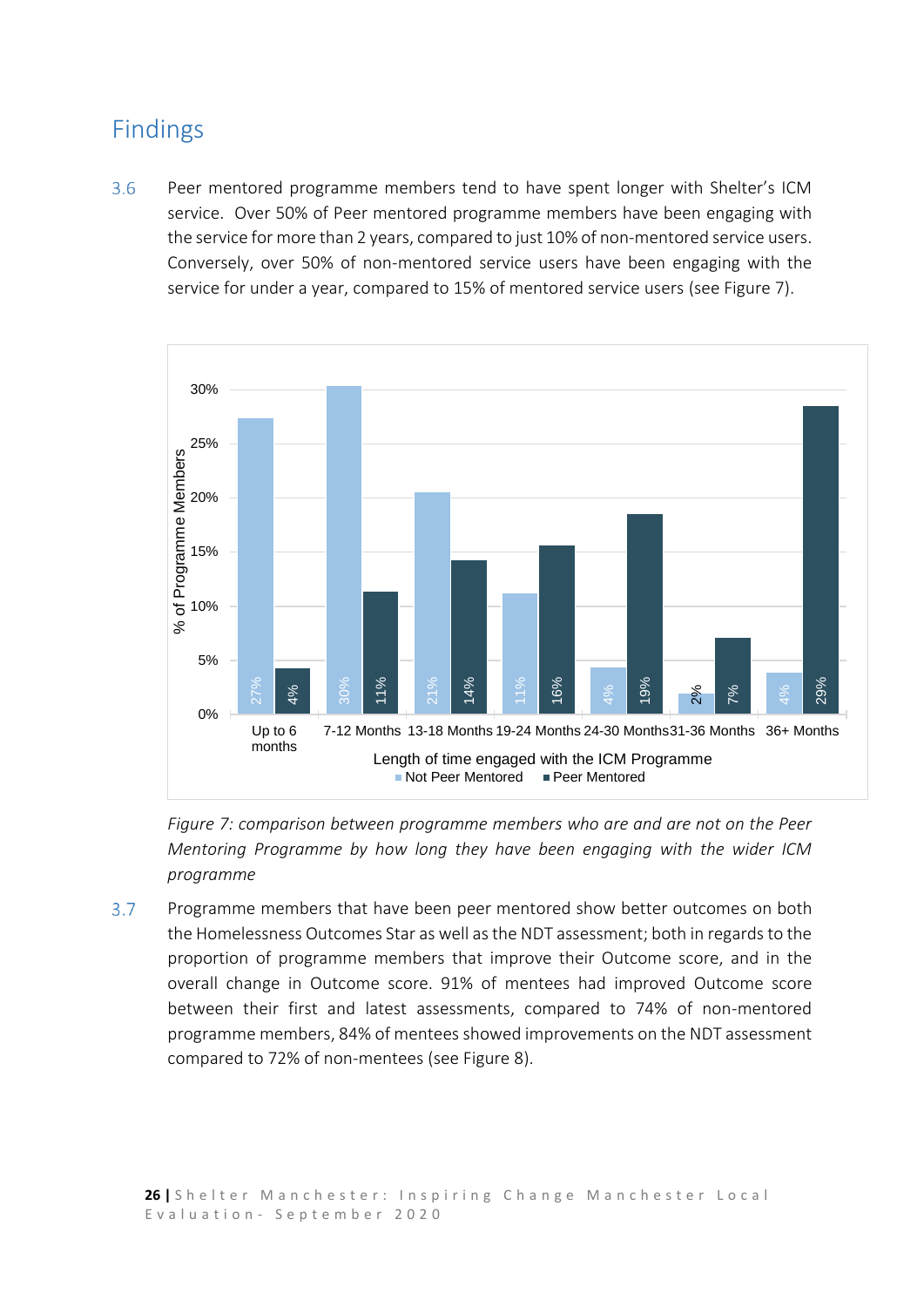## <span id="page-25-0"></span>Findings

 $3.6$ Peer mentored programme members tend to have spent longer with Shelter's ICM service. Over 50% of Peer mentored programme members have been engaging with the service for more than 2 years, compared to just 10% of non-mentored service users. Conversely, over 50% of non-mentored service users have been engaging with the service for under a year, compared to 15% of mentored service users (see Figure 7).



*Figure 7: comparison between programme members who are and are not on the Peer Mentoring Programme by how long they have been engaging with the wider ICM programme*

Comparison between programme members (see Figure 7: comparison between programme members (see Figure 7: comparison between programme members Mentoring Programme by how long they have programme members that have been peer  $3.7$ Programme members that have been peer mentored show better outcomes on both the Homelessness Outcomes Star as well as the NDT assessment; both in regards to the proportion of programme members that improve their Outcome score, and in the overall change in Outcome score. 91% of mentees had improved Outcome score between their first and latest assessments, compared to 74% of non-mentored programme members, 84% of mentees showed improvements on the NDT assessment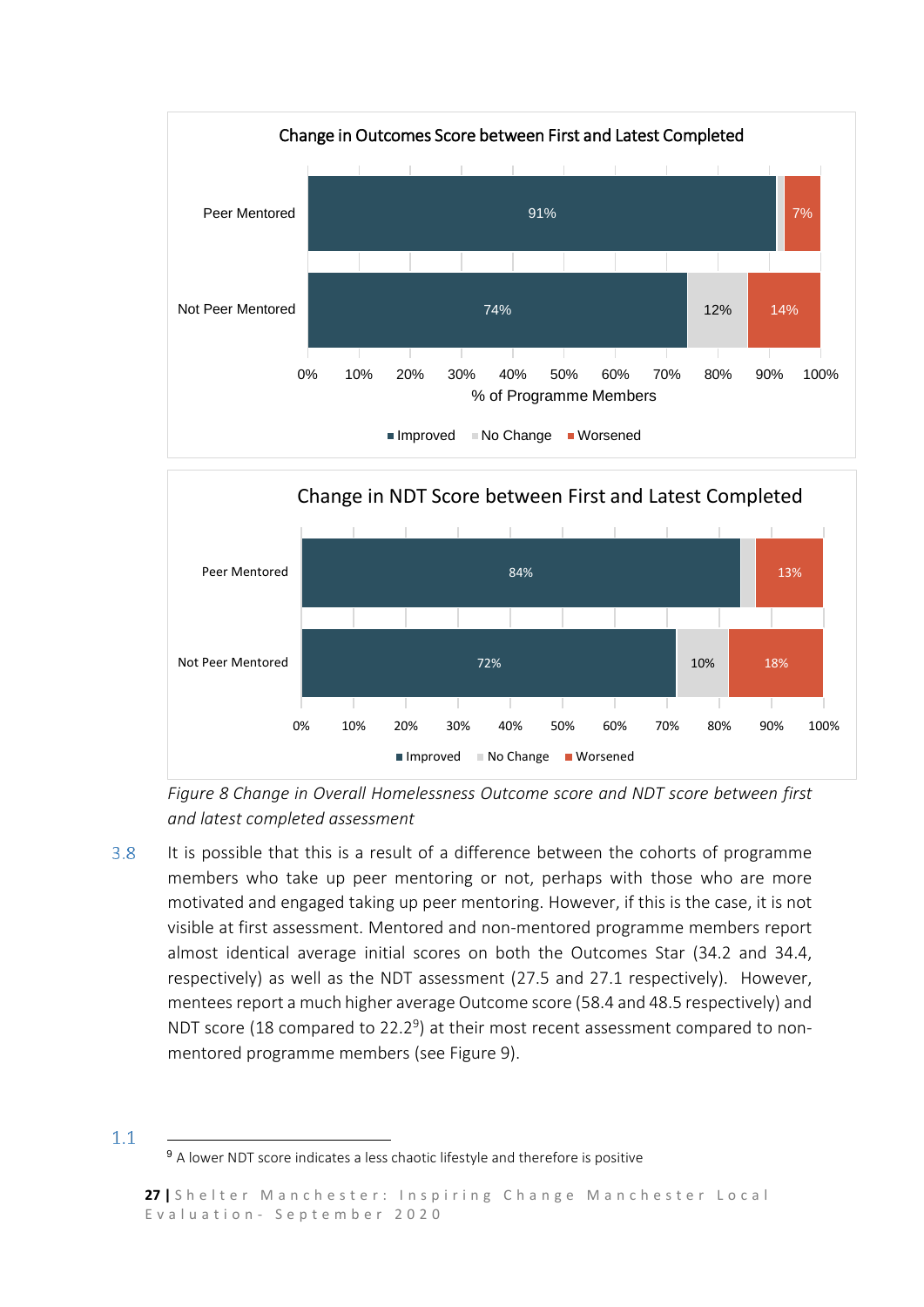



*Figure 8 Change in Overall Homelessness Outcome score and NDT score between first and latest completed assessment*

 $3.8$ It is possible that this is a result of a difference between the cohorts of programme members who take up peer mentoring or not, perhaps with those who are more motivated and engaged taking up peer mentoring. However, if this is the case, it is not visible at first assessment. Mentored and non-mentored programme members report almost identical average initial scores on both the Outcomes Star (34.2 and 34.4, respectively) as well as the NDT assessment (27.5 and 27.1 respectively). However, mentees report a much higher average Outcome score (58.4 and 48.5 respectively) and NDT score (18 compared to 22.2 $9$ ) at their most recent assessment compared to nonmentored programme members (see Figure 9).

**.** 

 $1.1$ 

<sup>9</sup> A lower NDT score indicates a less chaotic lifestyle and therefore is positive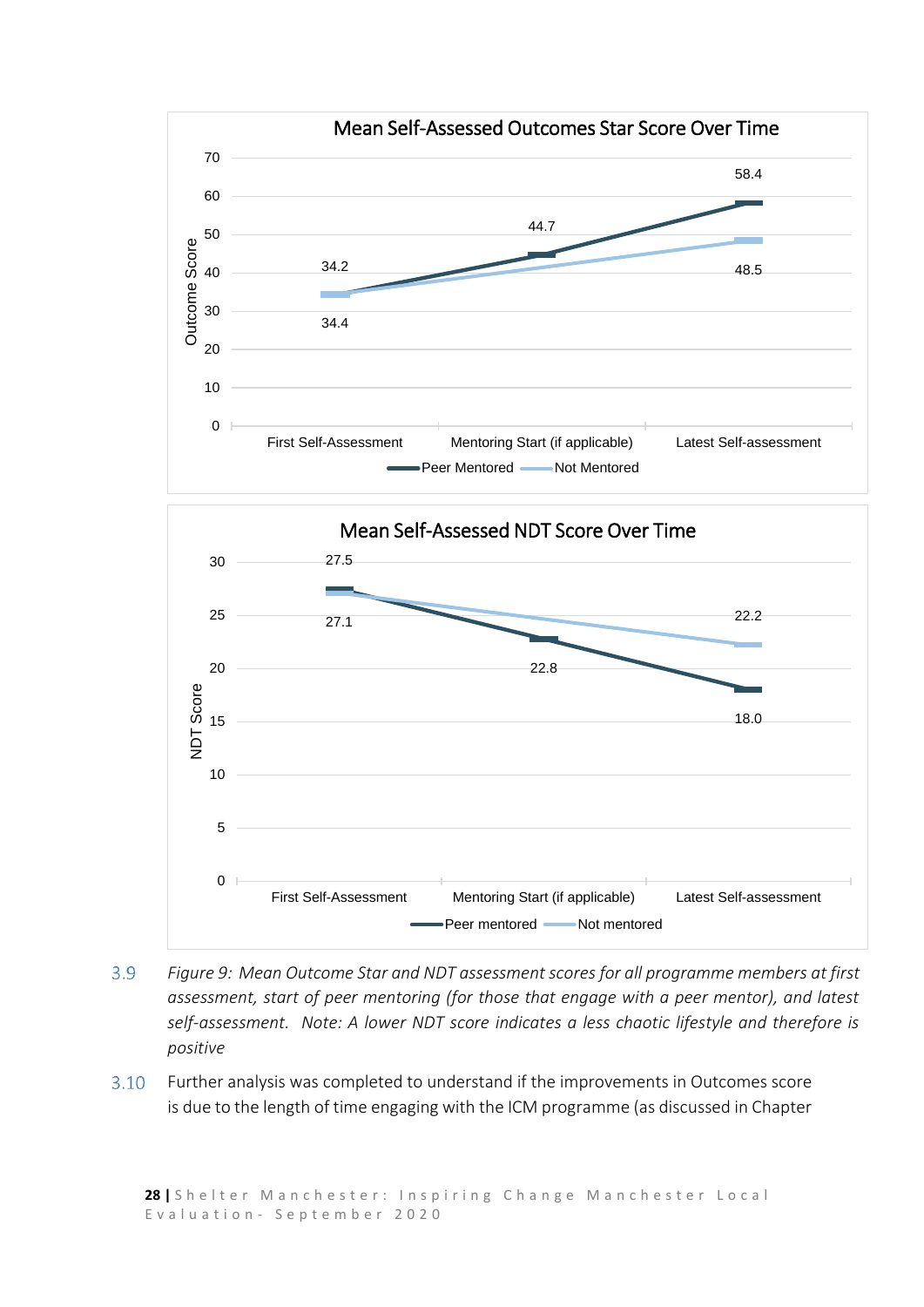

- $3.9$ *Figure 9: Mean Outcome Star and NDT assessment scores for all programme members at first assessment, start of peer mentoring (for those that engage with a peer mentor), and latest self-assessment. Note: A lower NDT score indicates a less chaotic lifestyle and therefore is positive*
- $3.10$ Further analysis was completed to understand if the improvements in Outcomes score is due to the length of time engaging with the ICM programme (as discussed in Chapter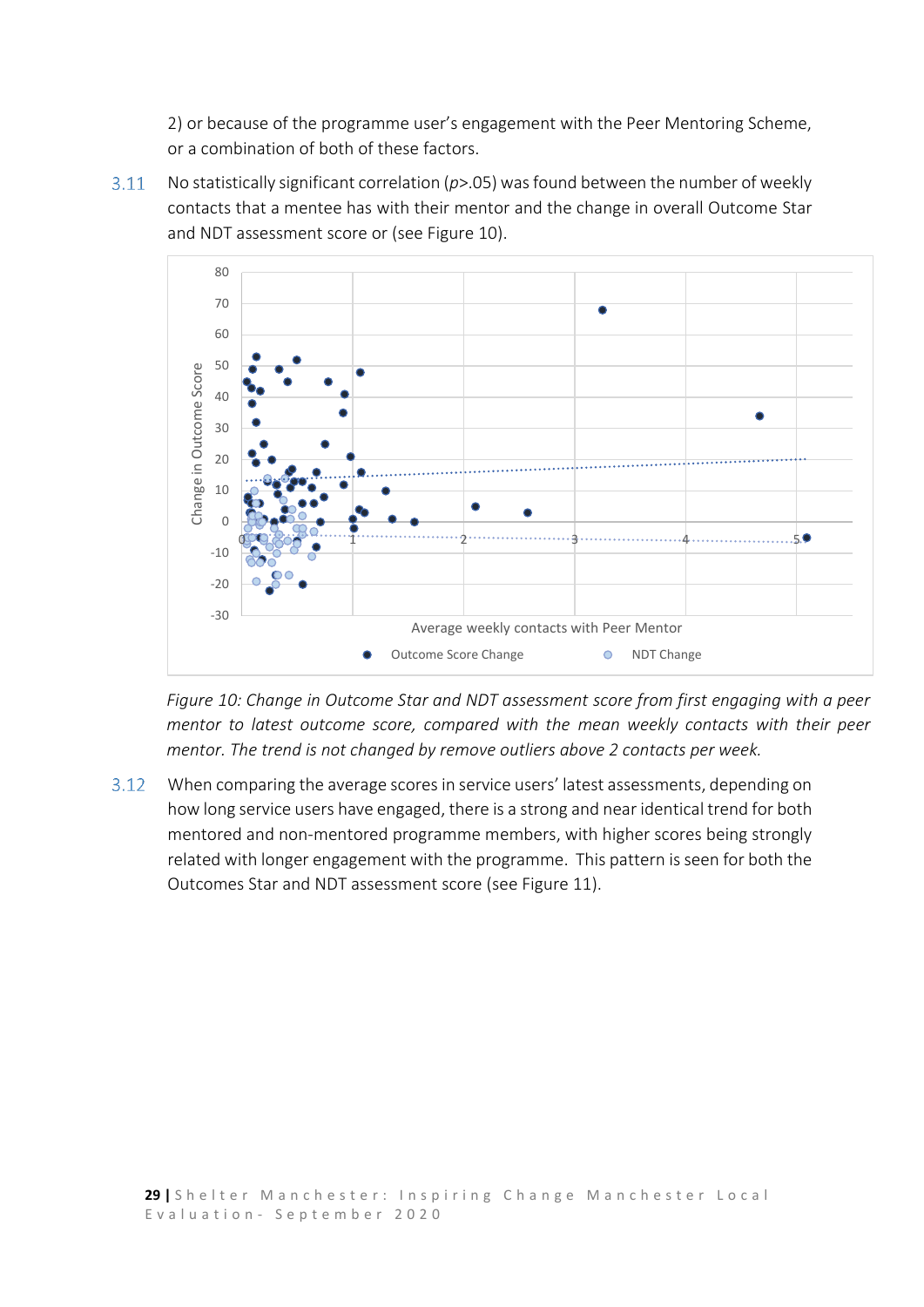2) or because of the programme user's engagement with the Peer Mentoring Scheme, or a combination of both of these factors.

 $3.11 -$ No statistically significant correlation (*p*>.05) was found between the number of weekly contacts that a mentee has with their mentor and the change in overall Outcome Star and NDT assessment score or (see Figure 10).



*Figure 10: Change in Outcome Star and NDT assessment score from first engaging with a peer mentor to latest outcome score, compared with the mean weekly contacts with their peer mentor. The trend is not changed by remove outliers above 2 contacts per week.*

 $3.12$ When comparing the average scores in service users' latest assessments, depending on how long service users have engaged, there is a strong and near identical trend for both mentored and non-mentored programme members, with higher scores being strongly related with longer engagement with the programme. This pattern is seen for both the Outcomes Star and NDT assessment score (see Figure 11).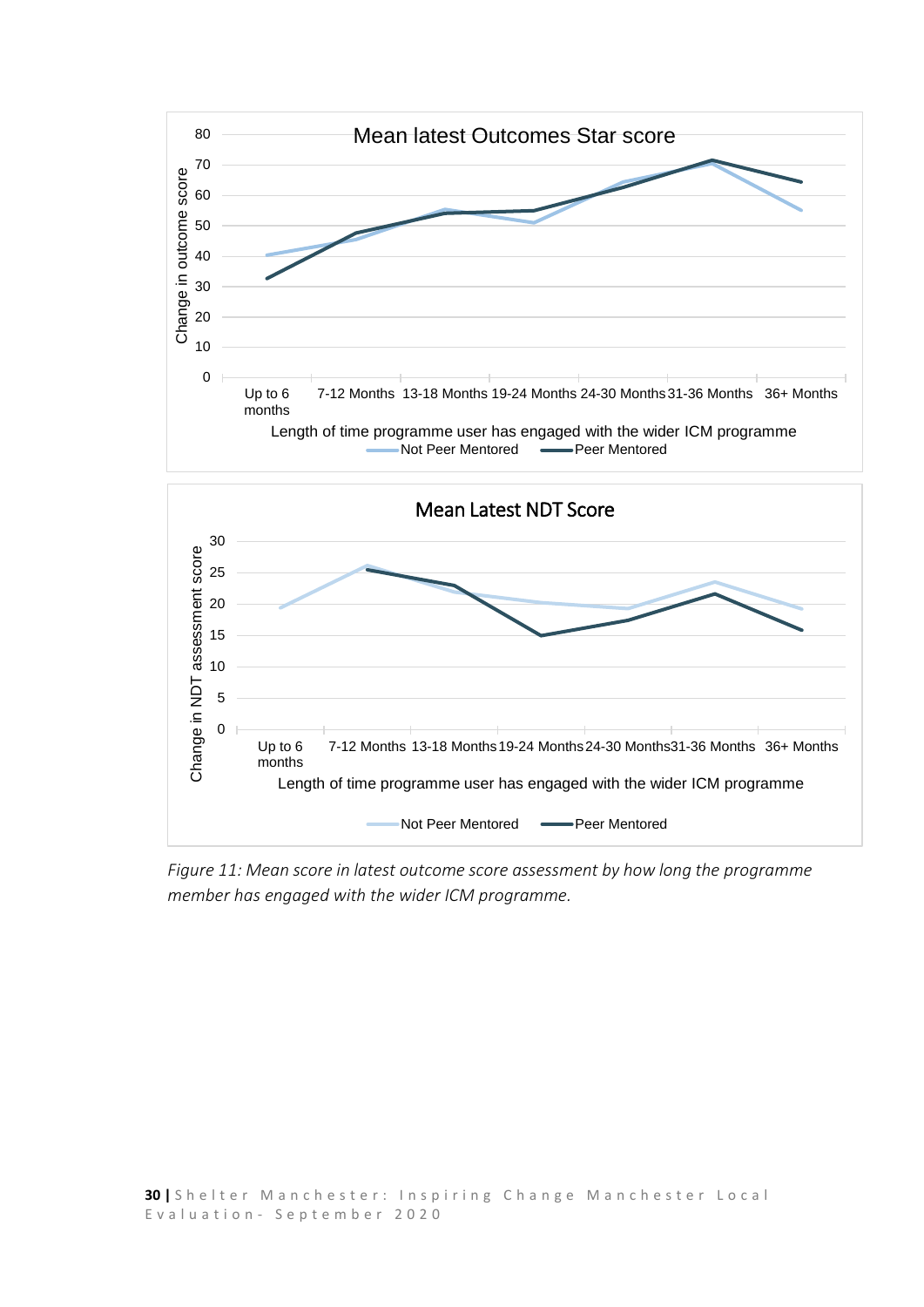

Not Peer Mentored - Peer Mentored

*Figure 11: Mean score in latest outcome score assessment by how long the programme member has engaged with the wider ICM programme.*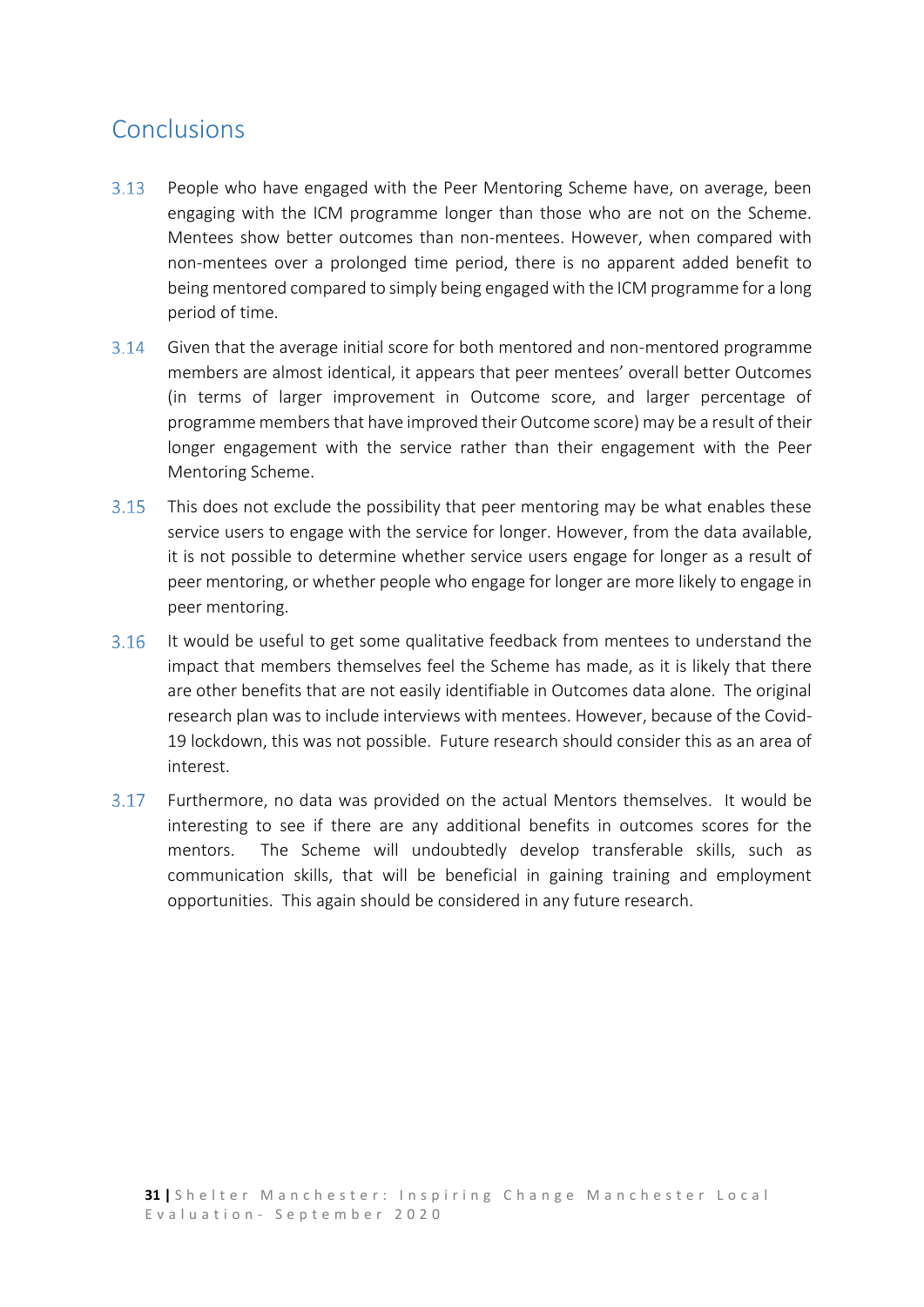## <span id="page-30-0"></span>Conclusions

- $3.13$ People who have engaged with the Peer Mentoring Scheme have, on average, been engaging with the ICM programme longer than those who are not on the Scheme. Mentees show better outcomes than non-mentees. However, when compared with non-mentees over a prolonged time period, there is no apparent added benefit to being mentored compared to simply being engaged with the ICM programme for a long period of time.
- $3.14$ Given that the average initial score for both mentored and non-mentored programme members are almost identical, it appears that peer mentees' overall better Outcomes (in terms of larger improvement in Outcome score, and larger percentage of programme membersthat have improved their Outcome score) may be a result of their longer engagement with the service rather than their engagement with the Peer Mentoring Scheme.
- $3.15$ This does not exclude the possibility that peer mentoring may be what enables these service users to engage with the service for longer. However, from the data available, it is not possible to determine whether service users engage for longer as a result of peer mentoring, or whether people who engage for longer are more likely to engage in peer mentoring.
- $3.16$ It would be useful to get some qualitative feedback from mentees to understand the impact that members themselves feel the Scheme has made, as it is likely that there are other benefits that are not easily identifiable in Outcomes data alone. The original research plan was to include interviews with mentees. However, because of the Covid-19 lockdown, this was not possible. Future research should consider this as an area of interest.
- $3.17$ Furthermore, no data was provided on the actual Mentors themselves. It would be interesting to see if there are any additional benefits in outcomes scores for the mentors. The Scheme will undoubtedly develop transferable skills, such as communication skills, that will be beneficial in gaining training and employment opportunities. This again should be considered in any future research.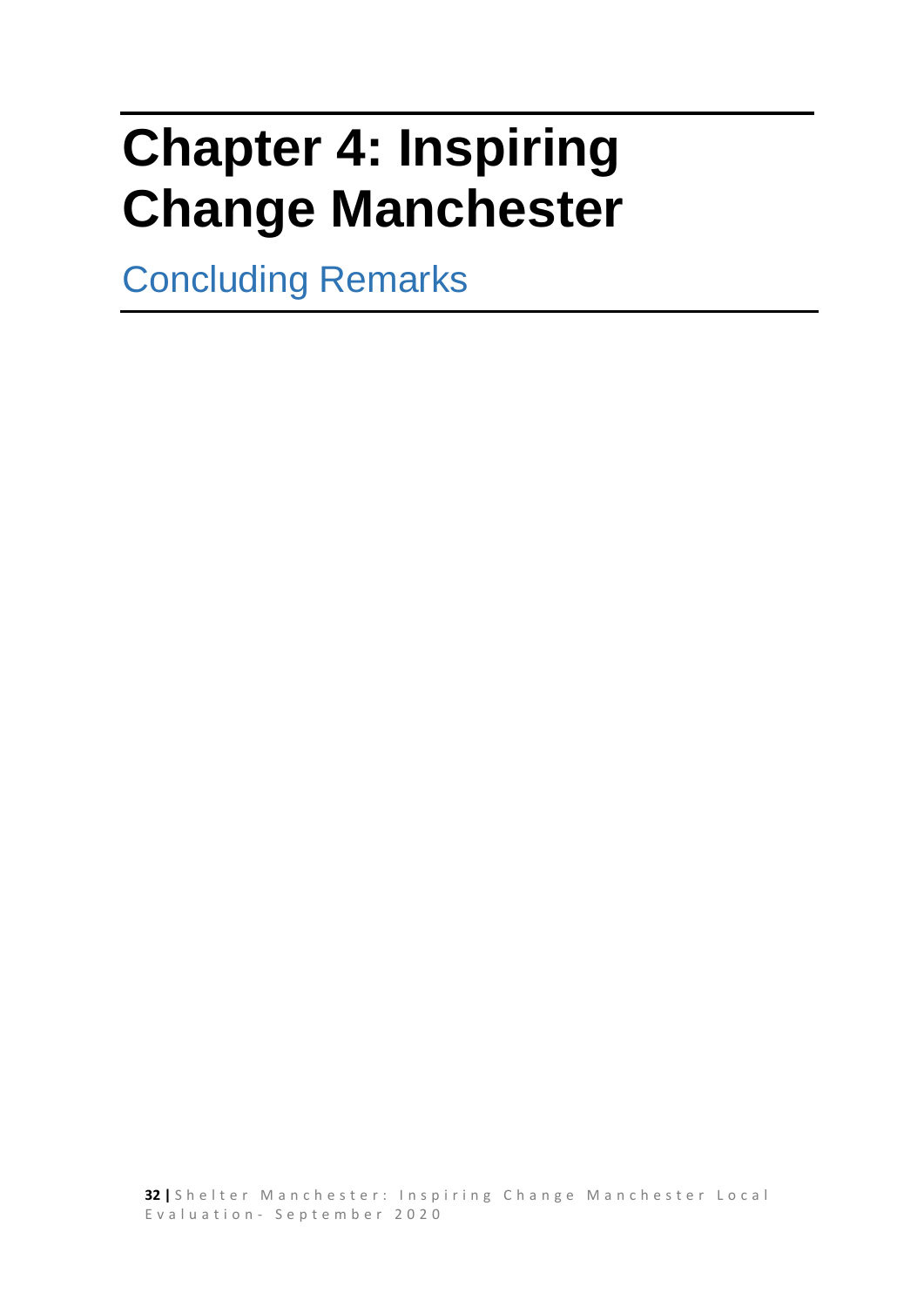# <span id="page-31-0"></span>**Chapter 4: Inspiring Change Manchester**

Concluding Remarks